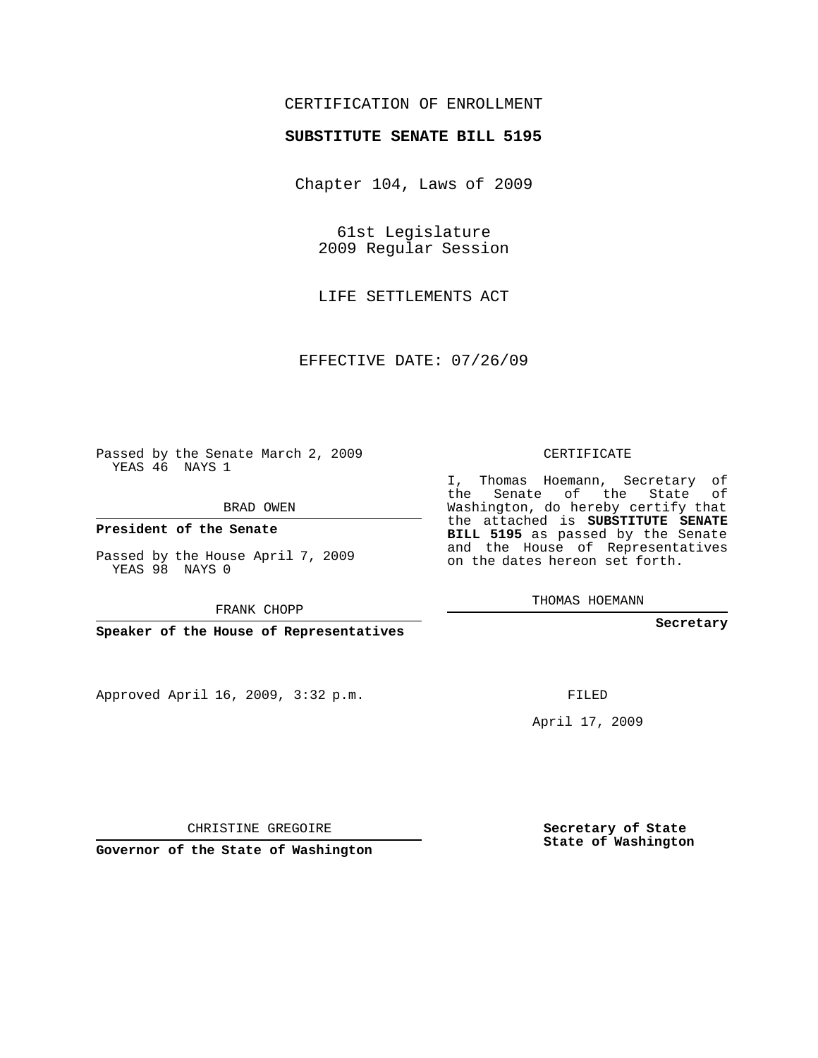#### CERTIFICATION OF ENROLLMENT

#### **SUBSTITUTE SENATE BILL 5195**

Chapter 104, Laws of 2009

61st Legislature 2009 Regular Session

LIFE SETTLEMENTS ACT

EFFECTIVE DATE: 07/26/09

Passed by the Senate March 2, 2009 YEAS 46 NAYS 1

BRAD OWEN

**President of the Senate**

Passed by the House April 7, 2009 YEAS 98 NAYS 0

FRANK CHOPP

**Speaker of the House of Representatives**

Approved April 16, 2009, 3:32 p.m.

CERTIFICATE

I, Thomas Hoemann, Secretary of the Senate of the State of Washington, do hereby certify that the attached is **SUBSTITUTE SENATE BILL 5195** as passed by the Senate and the House of Representatives on the dates hereon set forth.

THOMAS HOEMANN

**Secretary**

FILED

April 17, 2009

**Secretary of State State of Washington**

CHRISTINE GREGOIRE

**Governor of the State of Washington**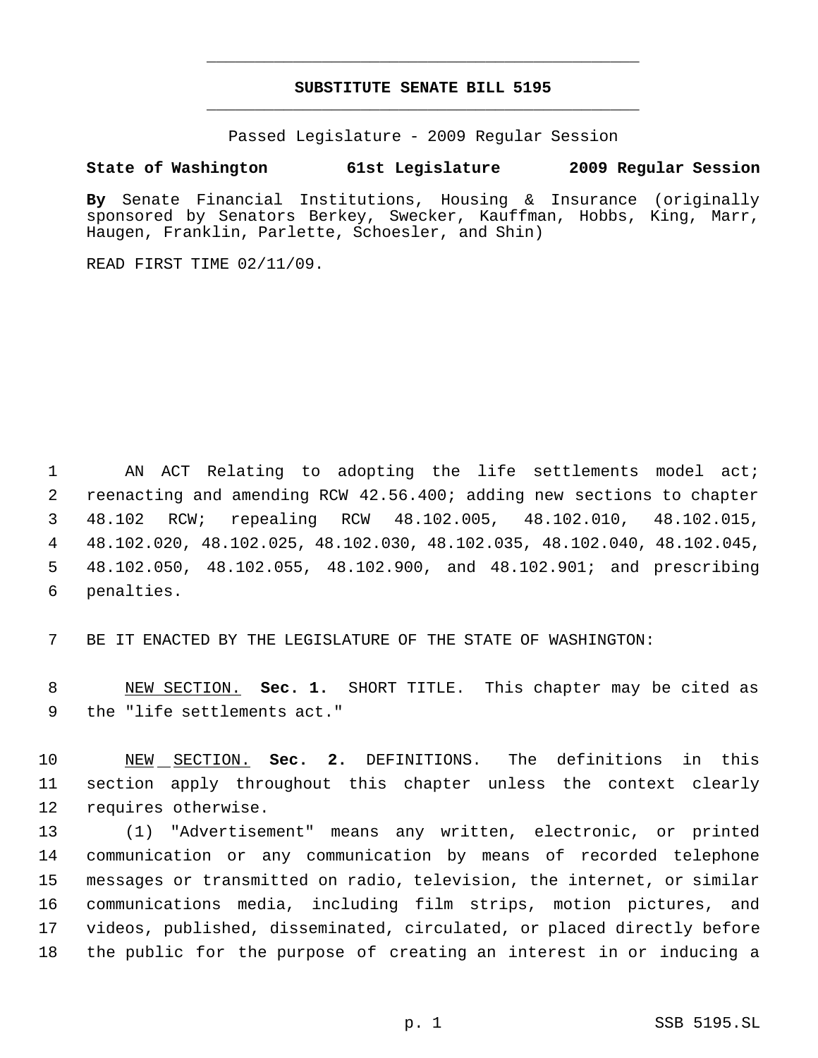# **SUBSTITUTE SENATE BILL 5195** \_\_\_\_\_\_\_\_\_\_\_\_\_\_\_\_\_\_\_\_\_\_\_\_\_\_\_\_\_\_\_\_\_\_\_\_\_\_\_\_\_\_\_\_\_

\_\_\_\_\_\_\_\_\_\_\_\_\_\_\_\_\_\_\_\_\_\_\_\_\_\_\_\_\_\_\_\_\_\_\_\_\_\_\_\_\_\_\_\_\_

Passed Legislature - 2009 Regular Session

## **State of Washington 61st Legislature 2009 Regular Session**

**By** Senate Financial Institutions, Housing & Insurance (originally sponsored by Senators Berkey, Swecker, Kauffman, Hobbs, King, Marr, Haugen, Franklin, Parlette, Schoesler, and Shin)

READ FIRST TIME 02/11/09.

 AN ACT Relating to adopting the life settlements model act; reenacting and amending RCW 42.56.400; adding new sections to chapter 48.102 RCW; repealing RCW 48.102.005, 48.102.010, 48.102.015, 48.102.020, 48.102.025, 48.102.030, 48.102.035, 48.102.040, 48.102.045, 48.102.050, 48.102.055, 48.102.900, and 48.102.901; and prescribing penalties.

BE IT ENACTED BY THE LEGISLATURE OF THE STATE OF WASHINGTON:

 NEW SECTION. **Sec. 1.** SHORT TITLE. This chapter may be cited as the "life settlements act."

 NEW SECTION. **Sec. 2.** DEFINITIONS. The definitions in this section apply throughout this chapter unless the context clearly requires otherwise.

 (1) "Advertisement" means any written, electronic, or printed communication or any communication by means of recorded telephone messages or transmitted on radio, television, the internet, or similar communications media, including film strips, motion pictures, and videos, published, disseminated, circulated, or placed directly before the public for the purpose of creating an interest in or inducing a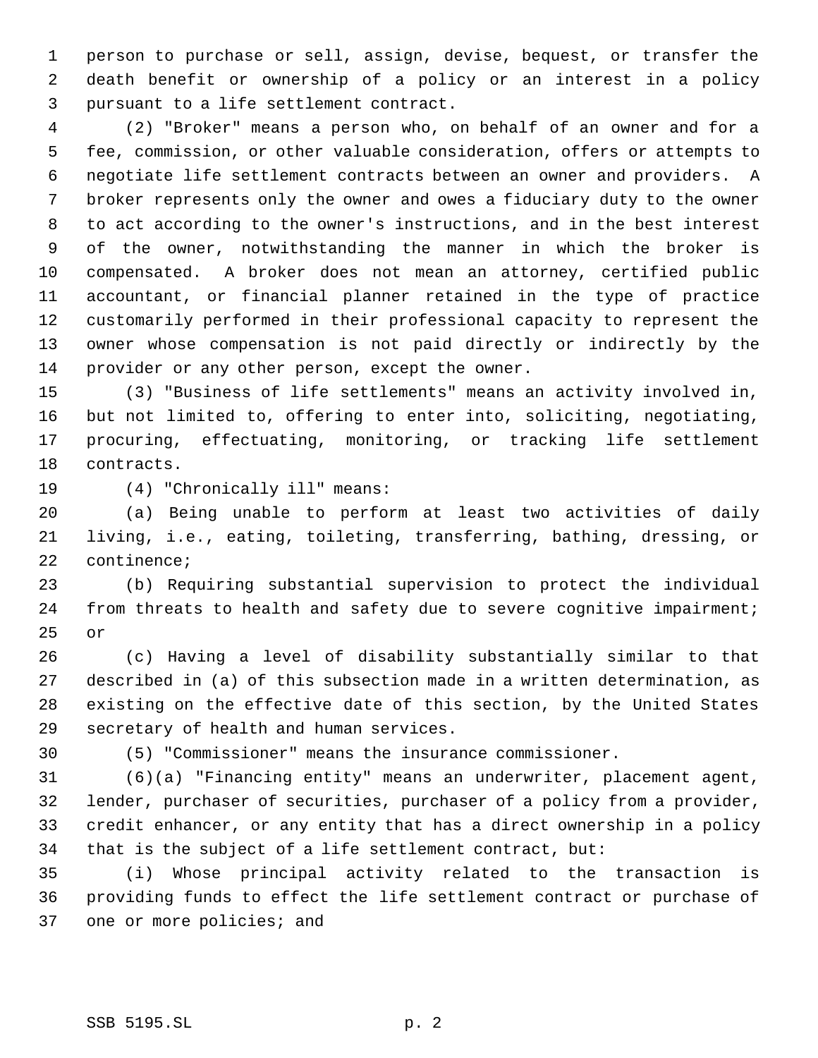person to purchase or sell, assign, devise, bequest, or transfer the death benefit or ownership of a policy or an interest in a policy pursuant to a life settlement contract.

 (2) "Broker" means a person who, on behalf of an owner and for a fee, commission, or other valuable consideration, offers or attempts to negotiate life settlement contracts between an owner and providers. A broker represents only the owner and owes a fiduciary duty to the owner to act according to the owner's instructions, and in the best interest of the owner, notwithstanding the manner in which the broker is compensated. A broker does not mean an attorney, certified public accountant, or financial planner retained in the type of practice customarily performed in their professional capacity to represent the owner whose compensation is not paid directly or indirectly by the provider or any other person, except the owner.

 (3) "Business of life settlements" means an activity involved in, but not limited to, offering to enter into, soliciting, negotiating, procuring, effectuating, monitoring, or tracking life settlement contracts.

(4) "Chronically ill" means:

 (a) Being unable to perform at least two activities of daily living, i.e., eating, toileting, transferring, bathing, dressing, or continence;

 (b) Requiring substantial supervision to protect the individual 24 from threats to health and safety due to severe cognitive impairment; or

 (c) Having a level of disability substantially similar to that described in (a) of this subsection made in a written determination, as existing on the effective date of this section, by the United States secretary of health and human services.

(5) "Commissioner" means the insurance commissioner.

 (6)(a) "Financing entity" means an underwriter, placement agent, lender, purchaser of securities, purchaser of a policy from a provider, credit enhancer, or any entity that has a direct ownership in a policy that is the subject of a life settlement contract, but:

 (i) Whose principal activity related to the transaction is providing funds to effect the life settlement contract or purchase of one or more policies; and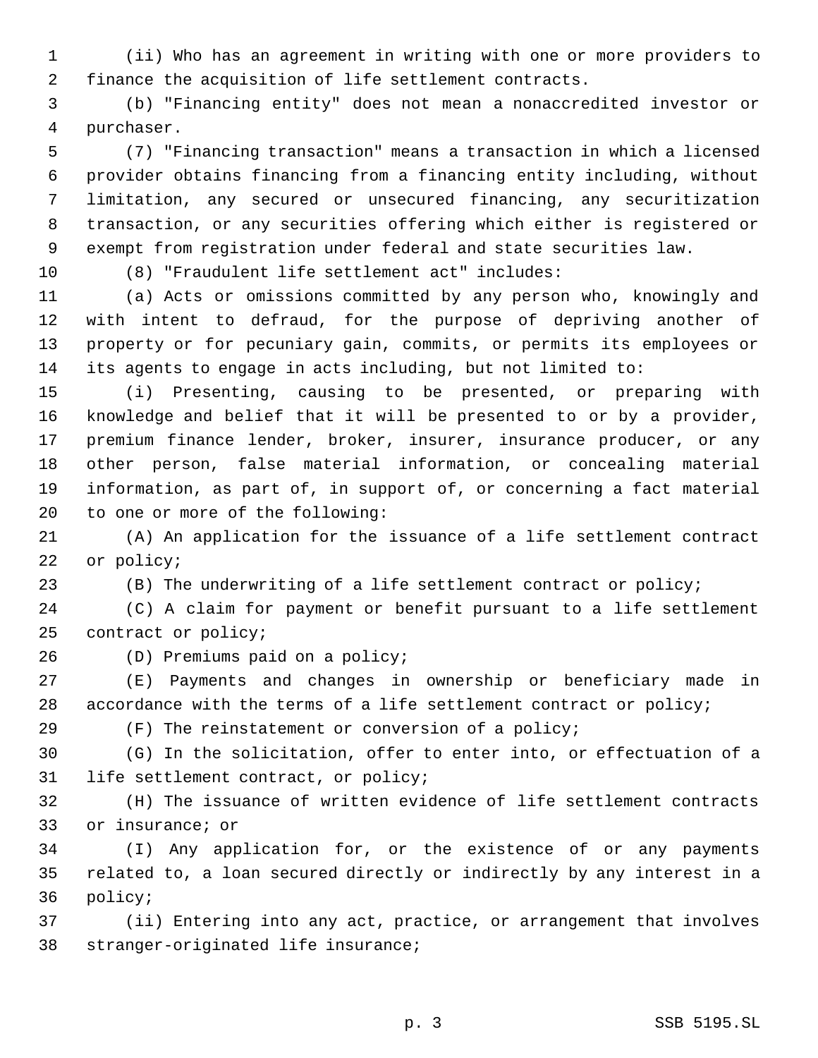(ii) Who has an agreement in writing with one or more providers to finance the acquisition of life settlement contracts.

 (b) "Financing entity" does not mean a nonaccredited investor or purchaser.

 (7) "Financing transaction" means a transaction in which a licensed provider obtains financing from a financing entity including, without limitation, any secured or unsecured financing, any securitization transaction, or any securities offering which either is registered or exempt from registration under federal and state securities law.

(8) "Fraudulent life settlement act" includes:

 (a) Acts or omissions committed by any person who, knowingly and with intent to defraud, for the purpose of depriving another of property or for pecuniary gain, commits, or permits its employees or its agents to engage in acts including, but not limited to:

 (i) Presenting, causing to be presented, or preparing with knowledge and belief that it will be presented to or by a provider, premium finance lender, broker, insurer, insurance producer, or any other person, false material information, or concealing material information, as part of, in support of, or concerning a fact material to one or more of the following:

 (A) An application for the issuance of a life settlement contract or policy;

(B) The underwriting of a life settlement contract or policy;

 (C) A claim for payment or benefit pursuant to a life settlement contract or policy;

(D) Premiums paid on a policy;

 (E) Payments and changes in ownership or beneficiary made in accordance with the terms of a life settlement contract or policy;

(F) The reinstatement or conversion of a policy;

 (G) In the solicitation, offer to enter into, or effectuation of a life settlement contract, or policy;

 (H) The issuance of written evidence of life settlement contracts or insurance; or

 (I) Any application for, or the existence of or any payments related to, a loan secured directly or indirectly by any interest in a policy;

 (ii) Entering into any act, practice, or arrangement that involves stranger-originated life insurance;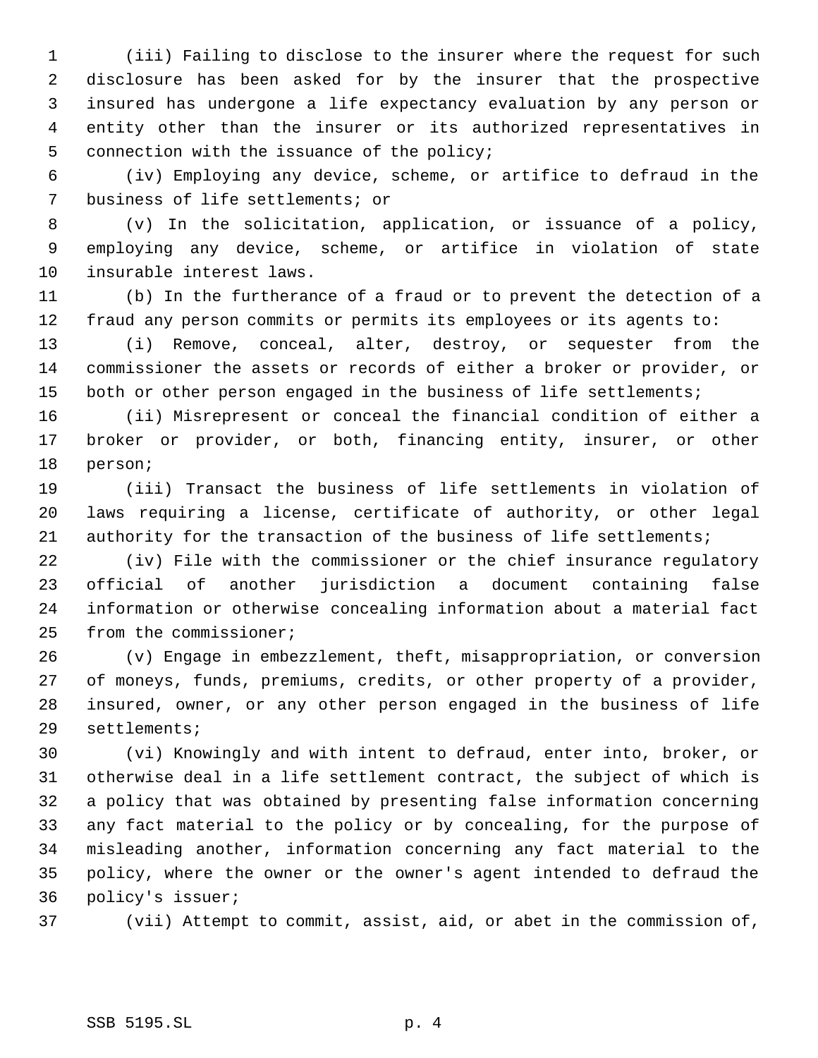(iii) Failing to disclose to the insurer where the request for such disclosure has been asked for by the insurer that the prospective insured has undergone a life expectancy evaluation by any person or entity other than the insurer or its authorized representatives in connection with the issuance of the policy;

 (iv) Employing any device, scheme, or artifice to defraud in the business of life settlements; or

 (v) In the solicitation, application, or issuance of a policy, employing any device, scheme, or artifice in violation of state insurable interest laws.

 (b) In the furtherance of a fraud or to prevent the detection of a fraud any person commits or permits its employees or its agents to:

 (i) Remove, conceal, alter, destroy, or sequester from the commissioner the assets or records of either a broker or provider, or 15 both or other person engaged in the business of life settlements;

 (ii) Misrepresent or conceal the financial condition of either a broker or provider, or both, financing entity, insurer, or other person;

 (iii) Transact the business of life settlements in violation of laws requiring a license, certificate of authority, or other legal authority for the transaction of the business of life settlements;

 (iv) File with the commissioner or the chief insurance regulatory official of another jurisdiction a document containing false information or otherwise concealing information about a material fact from the commissioner;

 (v) Engage in embezzlement, theft, misappropriation, or conversion of moneys, funds, premiums, credits, or other property of a provider, insured, owner, or any other person engaged in the business of life settlements;

 (vi) Knowingly and with intent to defraud, enter into, broker, or otherwise deal in a life settlement contract, the subject of which is a policy that was obtained by presenting false information concerning any fact material to the policy or by concealing, for the purpose of misleading another, information concerning any fact material to the policy, where the owner or the owner's agent intended to defraud the policy's issuer;

(vii) Attempt to commit, assist, aid, or abet in the commission of,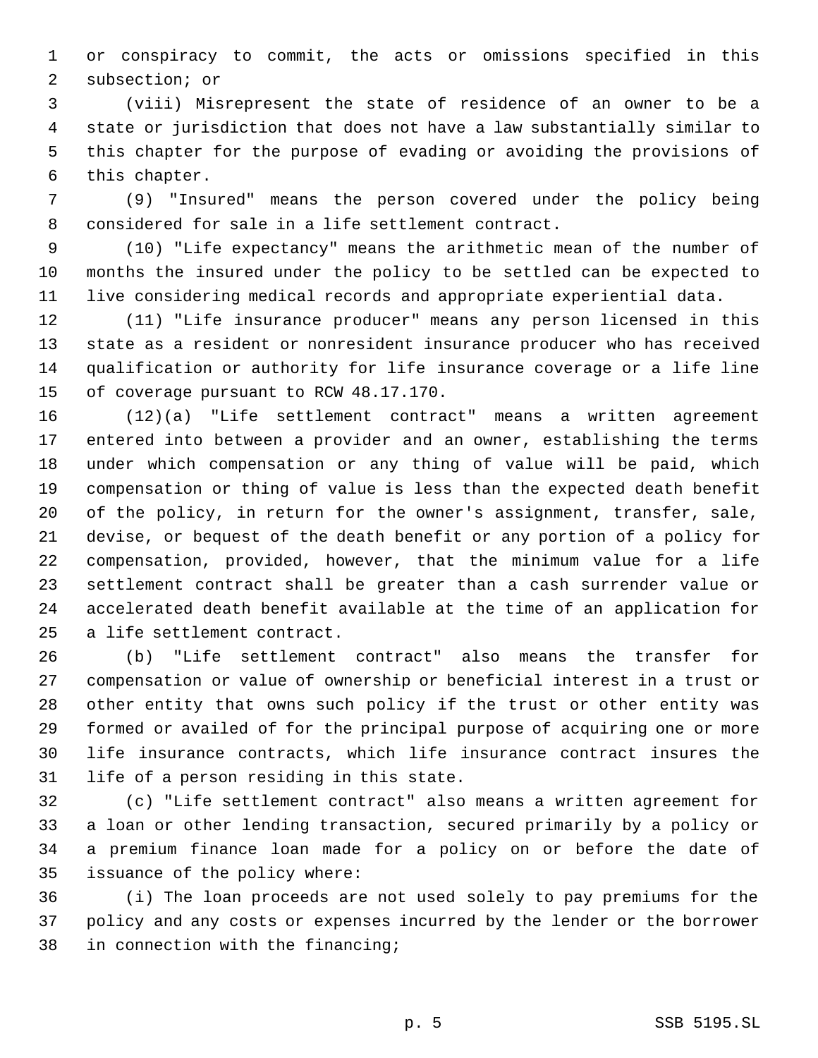or conspiracy to commit, the acts or omissions specified in this subsection; or

 (viii) Misrepresent the state of residence of an owner to be a state or jurisdiction that does not have a law substantially similar to this chapter for the purpose of evading or avoiding the provisions of this chapter.

 (9) "Insured" means the person covered under the policy being considered for sale in a life settlement contract.

 (10) "Life expectancy" means the arithmetic mean of the number of months the insured under the policy to be settled can be expected to live considering medical records and appropriate experiential data.

 (11) "Life insurance producer" means any person licensed in this state as a resident or nonresident insurance producer who has received qualification or authority for life insurance coverage or a life line of coverage pursuant to RCW 48.17.170.

 (12)(a) "Life settlement contract" means a written agreement entered into between a provider and an owner, establishing the terms under which compensation or any thing of value will be paid, which compensation or thing of value is less than the expected death benefit of the policy, in return for the owner's assignment, transfer, sale, devise, or bequest of the death benefit or any portion of a policy for compensation, provided, however, that the minimum value for a life settlement contract shall be greater than a cash surrender value or accelerated death benefit available at the time of an application for a life settlement contract.

 (b) "Life settlement contract" also means the transfer for compensation or value of ownership or beneficial interest in a trust or other entity that owns such policy if the trust or other entity was formed or availed of for the principal purpose of acquiring one or more life insurance contracts, which life insurance contract insures the life of a person residing in this state.

 (c) "Life settlement contract" also means a written agreement for a loan or other lending transaction, secured primarily by a policy or a premium finance loan made for a policy on or before the date of issuance of the policy where:

 (i) The loan proceeds are not used solely to pay premiums for the policy and any costs or expenses incurred by the lender or the borrower in connection with the financing;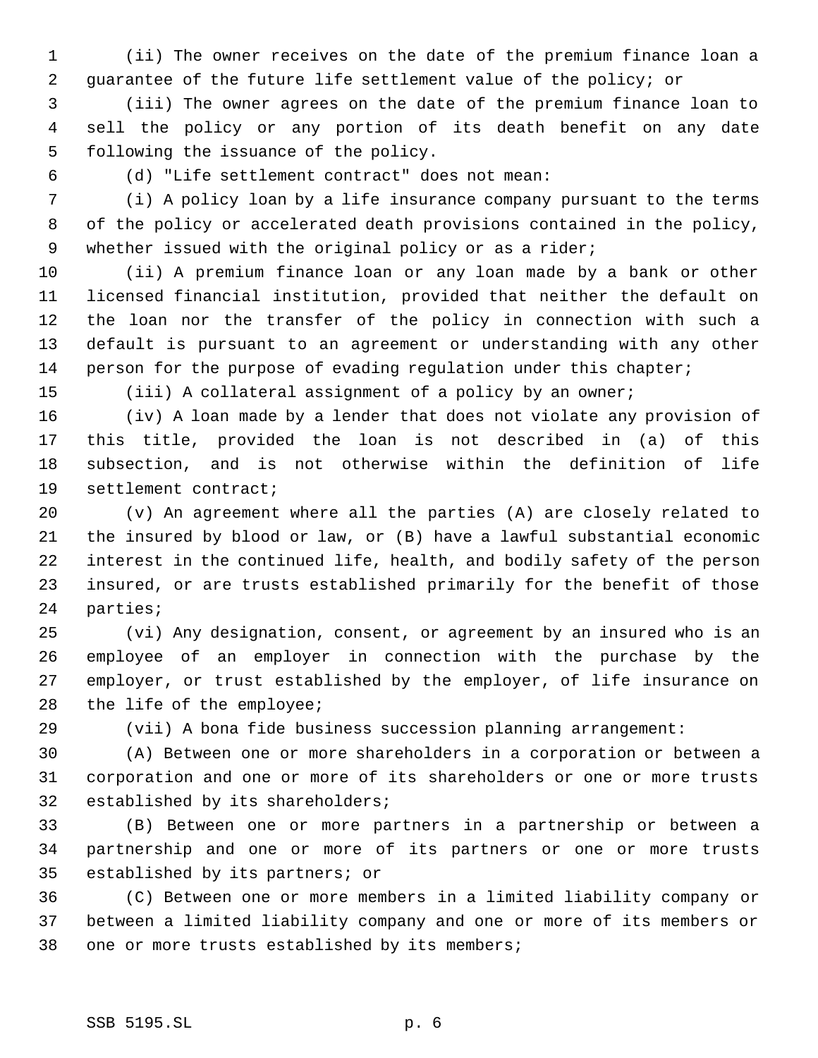(ii) The owner receives on the date of the premium finance loan a guarantee of the future life settlement value of the policy; or

 (iii) The owner agrees on the date of the premium finance loan to sell the policy or any portion of its death benefit on any date following the issuance of the policy.

(d) "Life settlement contract" does not mean:

 (i) A policy loan by a life insurance company pursuant to the terms of the policy or accelerated death provisions contained in the policy, whether issued with the original policy or as a rider;

 (ii) A premium finance loan or any loan made by a bank or other licensed financial institution, provided that neither the default on the loan nor the transfer of the policy in connection with such a default is pursuant to an agreement or understanding with any other 14 person for the purpose of evading regulation under this chapter;

(iii) A collateral assignment of a policy by an owner;

 (iv) A loan made by a lender that does not violate any provision of this title, provided the loan is not described in (a) of this subsection, and is not otherwise within the definition of life settlement contract;

 (v) An agreement where all the parties (A) are closely related to the insured by blood or law, or (B) have a lawful substantial economic interest in the continued life, health, and bodily safety of the person insured, or are trusts established primarily for the benefit of those parties;

 (vi) Any designation, consent, or agreement by an insured who is an employee of an employer in connection with the purchase by the employer, or trust established by the employer, of life insurance on the life of the employee;

(vii) A bona fide business succession planning arrangement:

 (A) Between one or more shareholders in a corporation or between a corporation and one or more of its shareholders or one or more trusts established by its shareholders;

 (B) Between one or more partners in a partnership or between a partnership and one or more of its partners or one or more trusts established by its partners; or

 (C) Between one or more members in a limited liability company or between a limited liability company and one or more of its members or one or more trusts established by its members;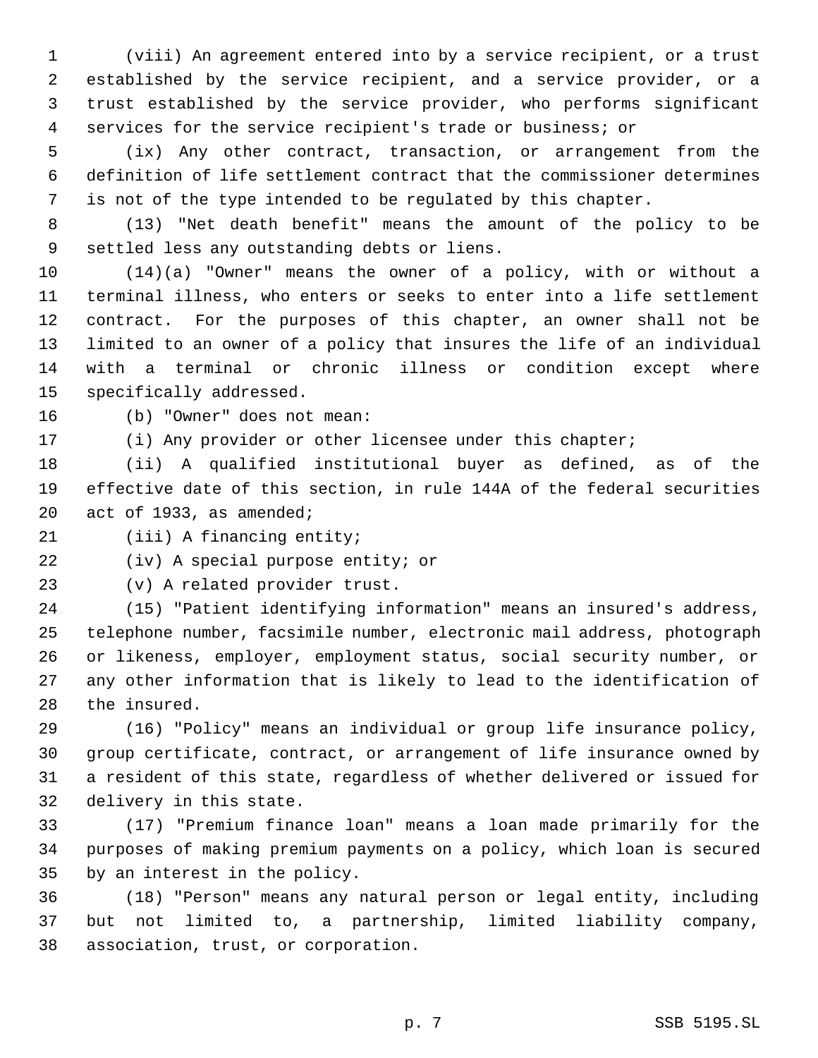(viii) An agreement entered into by a service recipient, or a trust established by the service recipient, and a service provider, or a trust established by the service provider, who performs significant services for the service recipient's trade or business; or

 (ix) Any other contract, transaction, or arrangement from the definition of life settlement contract that the commissioner determines is not of the type intended to be regulated by this chapter.

 (13) "Net death benefit" means the amount of the policy to be settled less any outstanding debts or liens.

 (14)(a) "Owner" means the owner of a policy, with or without a terminal illness, who enters or seeks to enter into a life settlement contract. For the purposes of this chapter, an owner shall not be limited to an owner of a policy that insures the life of an individual with a terminal or chronic illness or condition except where specifically addressed.

## (b) "Owner" does not mean:

(i) Any provider or other licensee under this chapter;

 (ii) A qualified institutional buyer as defined, as of the effective date of this section, in rule 144A of the federal securities act of 1933, as amended;

21 (iii) A financing entity;

(iv) A special purpose entity; or

(v) A related provider trust.

 (15) "Patient identifying information" means an insured's address, telephone number, facsimile number, electronic mail address, photograph or likeness, employer, employment status, social security number, or any other information that is likely to lead to the identification of the insured.

 (16) "Policy" means an individual or group life insurance policy, group certificate, contract, or arrangement of life insurance owned by a resident of this state, regardless of whether delivered or issued for delivery in this state.

 (17) "Premium finance loan" means a loan made primarily for the purposes of making premium payments on a policy, which loan is secured by an interest in the policy.

 (18) "Person" means any natural person or legal entity, including but not limited to, a partnership, limited liability company, association, trust, or corporation.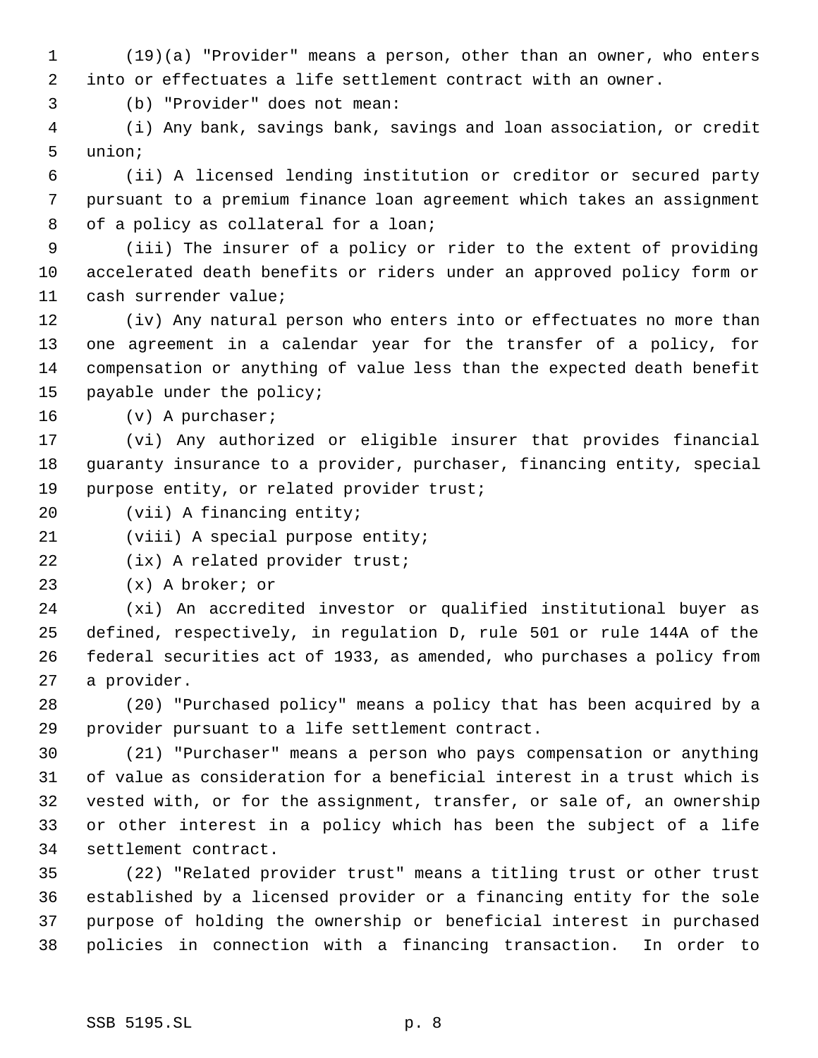(19)(a) "Provider" means a person, other than an owner, who enters into or effectuates a life settlement contract with an owner.

(b) "Provider" does not mean:

 (i) Any bank, savings bank, savings and loan association, or credit union;

 (ii) A licensed lending institution or creditor or secured party pursuant to a premium finance loan agreement which takes an assignment of a policy as collateral for a loan;

 (iii) The insurer of a policy or rider to the extent of providing accelerated death benefits or riders under an approved policy form or cash surrender value;

 (iv) Any natural person who enters into or effectuates no more than one agreement in a calendar year for the transfer of a policy, for compensation or anything of value less than the expected death benefit payable under the policy;

(v) A purchaser;

 (vi) Any authorized or eligible insurer that provides financial guaranty insurance to a provider, purchaser, financing entity, special purpose entity, or related provider trust;

(vii) A financing entity;

(viii) A special purpose entity;

22 (ix) A related provider trust;

(x) A broker; or

 (xi) An accredited investor or qualified institutional buyer as defined, respectively, in regulation D, rule 501 or rule 144A of the federal securities act of 1933, as amended, who purchases a policy from a provider.

 (20) "Purchased policy" means a policy that has been acquired by a provider pursuant to a life settlement contract.

 (21) "Purchaser" means a person who pays compensation or anything of value as consideration for a beneficial interest in a trust which is vested with, or for the assignment, transfer, or sale of, an ownership or other interest in a policy which has been the subject of a life settlement contract.

 (22) "Related provider trust" means a titling trust or other trust established by a licensed provider or a financing entity for the sole purpose of holding the ownership or beneficial interest in purchased policies in connection with a financing transaction. In order to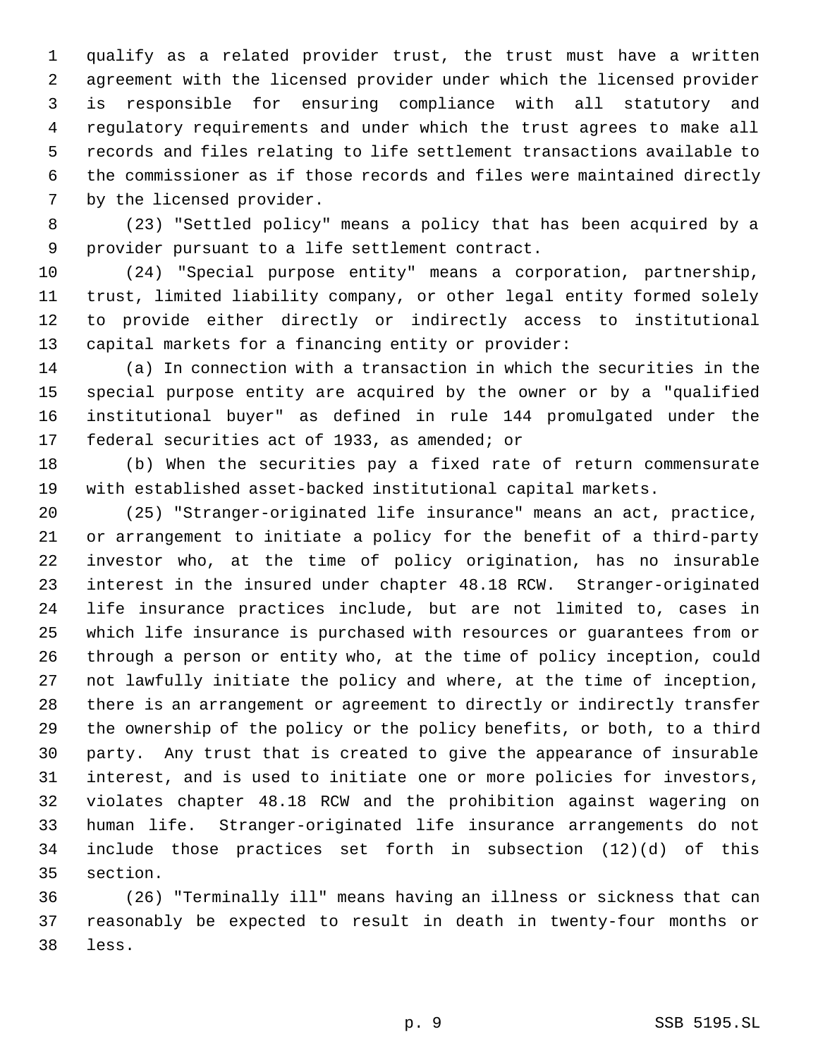qualify as a related provider trust, the trust must have a written agreement with the licensed provider under which the licensed provider is responsible for ensuring compliance with all statutory and regulatory requirements and under which the trust agrees to make all records and files relating to life settlement transactions available to the commissioner as if those records and files were maintained directly by the licensed provider.

 (23) "Settled policy" means a policy that has been acquired by a provider pursuant to a life settlement contract.

 (24) "Special purpose entity" means a corporation, partnership, trust, limited liability company, or other legal entity formed solely to provide either directly or indirectly access to institutional capital markets for a financing entity or provider:

 (a) In connection with a transaction in which the securities in the special purpose entity are acquired by the owner or by a "qualified institutional buyer" as defined in rule 144 promulgated under the federal securities act of 1933, as amended; or

 (b) When the securities pay a fixed rate of return commensurate with established asset-backed institutional capital markets.

 (25) "Stranger-originated life insurance" means an act, practice, or arrangement to initiate a policy for the benefit of a third-party investor who, at the time of policy origination, has no insurable interest in the insured under chapter 48.18 RCW. Stranger-originated life insurance practices include, but are not limited to, cases in which life insurance is purchased with resources or guarantees from or through a person or entity who, at the time of policy inception, could not lawfully initiate the policy and where, at the time of inception, there is an arrangement or agreement to directly or indirectly transfer the ownership of the policy or the policy benefits, or both, to a third party. Any trust that is created to give the appearance of insurable interest, and is used to initiate one or more policies for investors, violates chapter 48.18 RCW and the prohibition against wagering on human life. Stranger-originated life insurance arrangements do not include those practices set forth in subsection (12)(d) of this section.

 (26) "Terminally ill" means having an illness or sickness that can reasonably be expected to result in death in twenty-four months or less.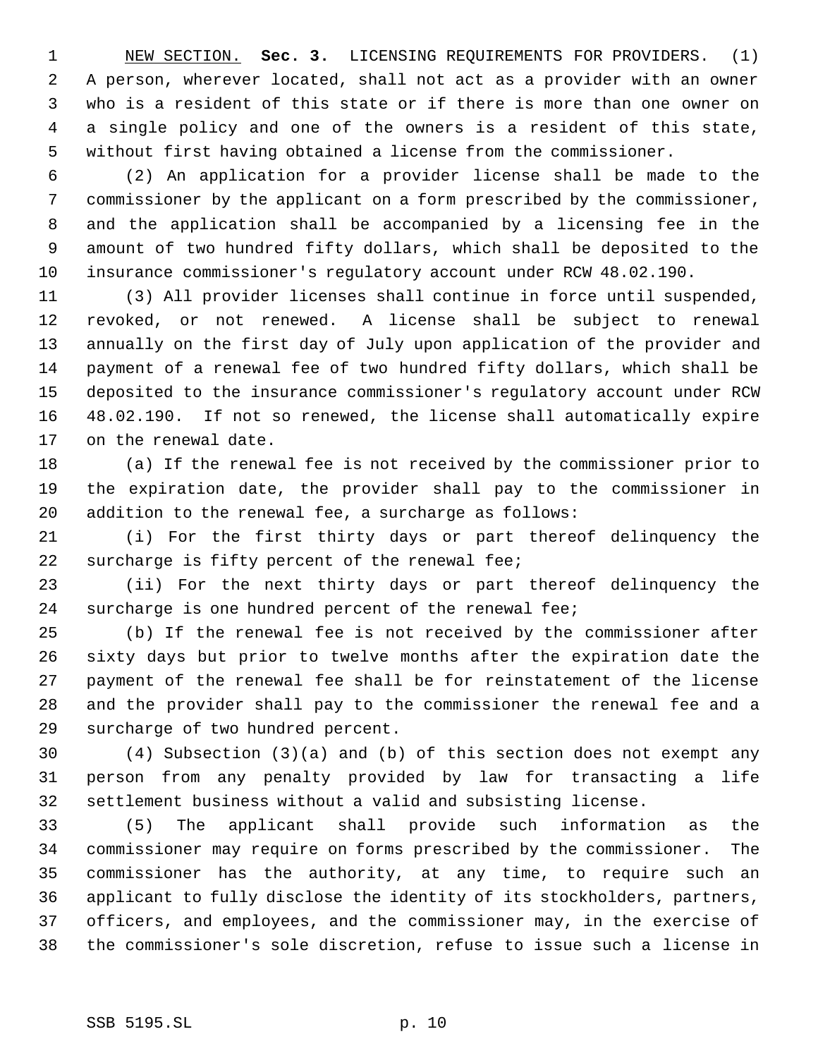NEW SECTION. **Sec. 3.** LICENSING REQUIREMENTS FOR PROVIDERS. (1) A person, wherever located, shall not act as a provider with an owner who is a resident of this state or if there is more than one owner on a single policy and one of the owners is a resident of this state, without first having obtained a license from the commissioner.

 (2) An application for a provider license shall be made to the commissioner by the applicant on a form prescribed by the commissioner, and the application shall be accompanied by a licensing fee in the amount of two hundred fifty dollars, which shall be deposited to the insurance commissioner's regulatory account under RCW 48.02.190.

 (3) All provider licenses shall continue in force until suspended, revoked, or not renewed. A license shall be subject to renewal annually on the first day of July upon application of the provider and payment of a renewal fee of two hundred fifty dollars, which shall be deposited to the insurance commissioner's regulatory account under RCW 48.02.190. If not so renewed, the license shall automatically expire on the renewal date.

 (a) If the renewal fee is not received by the commissioner prior to the expiration date, the provider shall pay to the commissioner in addition to the renewal fee, a surcharge as follows:

 (i) For the first thirty days or part thereof delinquency the 22 surcharge is fifty percent of the renewal fee;

 (ii) For the next thirty days or part thereof delinquency the surcharge is one hundred percent of the renewal fee;

 (b) If the renewal fee is not received by the commissioner after sixty days but prior to twelve months after the expiration date the payment of the renewal fee shall be for reinstatement of the license and the provider shall pay to the commissioner the renewal fee and a surcharge of two hundred percent.

 (4) Subsection (3)(a) and (b) of this section does not exempt any person from any penalty provided by law for transacting a life settlement business without a valid and subsisting license.

 (5) The applicant shall provide such information as the commissioner may require on forms prescribed by the commissioner. The commissioner has the authority, at any time, to require such an applicant to fully disclose the identity of its stockholders, partners, officers, and employees, and the commissioner may, in the exercise of the commissioner's sole discretion, refuse to issue such a license in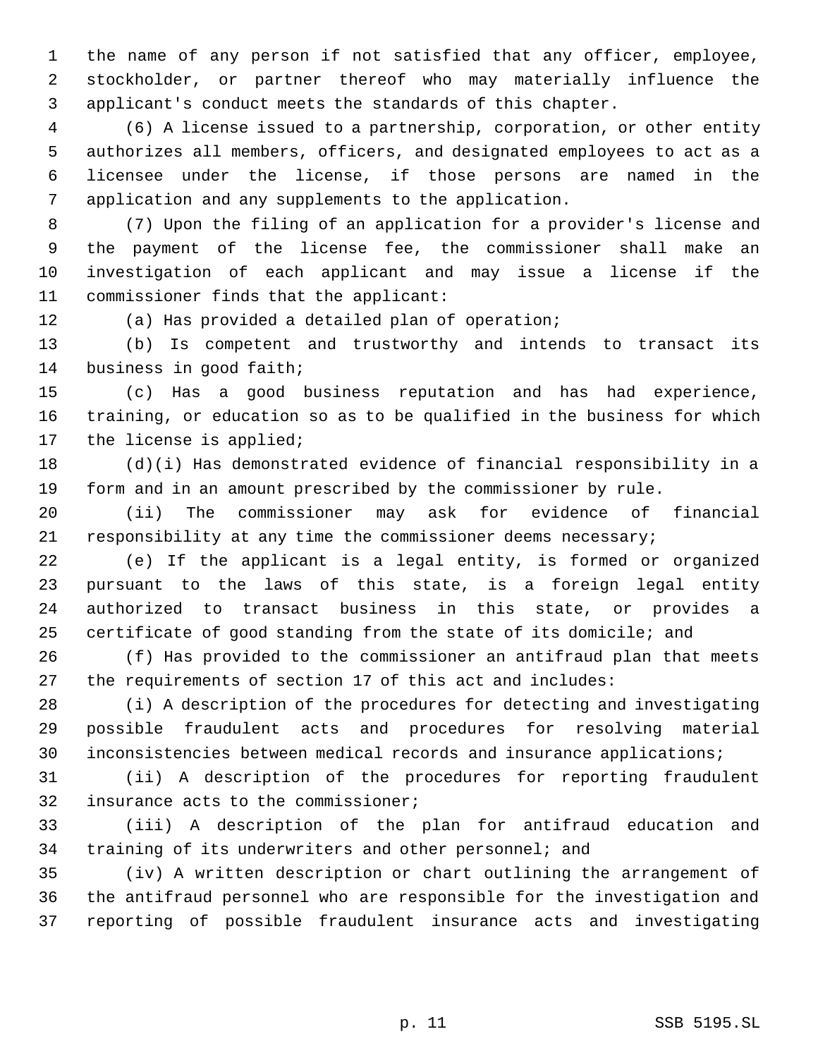the name of any person if not satisfied that any officer, employee, stockholder, or partner thereof who may materially influence the applicant's conduct meets the standards of this chapter.

 (6) A license issued to a partnership, corporation, or other entity authorizes all members, officers, and designated employees to act as a licensee under the license, if those persons are named in the application and any supplements to the application.

 (7) Upon the filing of an application for a provider's license and the payment of the license fee, the commissioner shall make an investigation of each applicant and may issue a license if the commissioner finds that the applicant:

(a) Has provided a detailed plan of operation;

 (b) Is competent and trustworthy and intends to transact its business in good faith;

 (c) Has a good business reputation and has had experience, training, or education so as to be qualified in the business for which the license is applied;

 (d)(i) Has demonstrated evidence of financial responsibility in a form and in an amount prescribed by the commissioner by rule.

 (ii) The commissioner may ask for evidence of financial responsibility at any time the commissioner deems necessary;

 (e) If the applicant is a legal entity, is formed or organized pursuant to the laws of this state, is a foreign legal entity authorized to transact business in this state, or provides a certificate of good standing from the state of its domicile; and

 (f) Has provided to the commissioner an antifraud plan that meets the requirements of section 17 of this act and includes:

 (i) A description of the procedures for detecting and investigating possible fraudulent acts and procedures for resolving material inconsistencies between medical records and insurance applications;

 (ii) A description of the procedures for reporting fraudulent insurance acts to the commissioner;

 (iii) A description of the plan for antifraud education and training of its underwriters and other personnel; and

 (iv) A written description or chart outlining the arrangement of the antifraud personnel who are responsible for the investigation and reporting of possible fraudulent insurance acts and investigating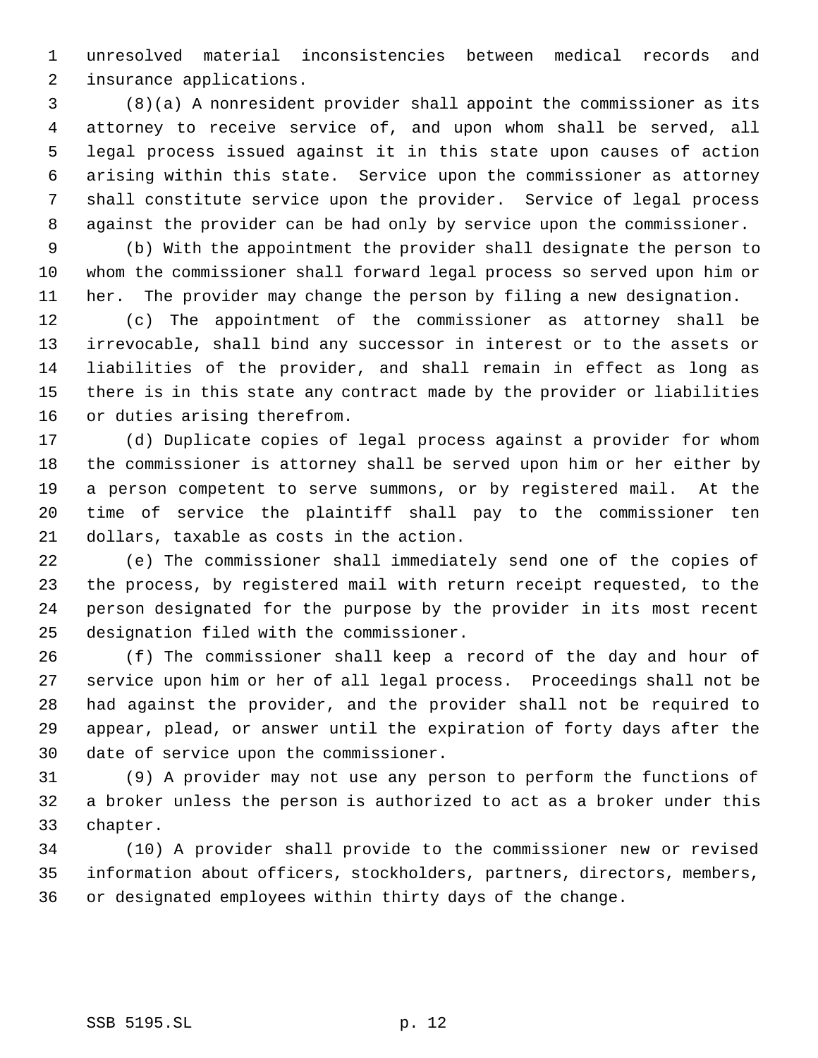unresolved material inconsistencies between medical records and insurance applications.

 (8)(a) A nonresident provider shall appoint the commissioner as its attorney to receive service of, and upon whom shall be served, all legal process issued against it in this state upon causes of action arising within this state. Service upon the commissioner as attorney shall constitute service upon the provider. Service of legal process against the provider can be had only by service upon the commissioner.

 (b) With the appointment the provider shall designate the person to whom the commissioner shall forward legal process so served upon him or her. The provider may change the person by filing a new designation.

 (c) The appointment of the commissioner as attorney shall be irrevocable, shall bind any successor in interest or to the assets or liabilities of the provider, and shall remain in effect as long as there is in this state any contract made by the provider or liabilities or duties arising therefrom.

 (d) Duplicate copies of legal process against a provider for whom the commissioner is attorney shall be served upon him or her either by a person competent to serve summons, or by registered mail. At the time of service the plaintiff shall pay to the commissioner ten dollars, taxable as costs in the action.

 (e) The commissioner shall immediately send one of the copies of the process, by registered mail with return receipt requested, to the person designated for the purpose by the provider in its most recent designation filed with the commissioner.

 (f) The commissioner shall keep a record of the day and hour of service upon him or her of all legal process. Proceedings shall not be had against the provider, and the provider shall not be required to appear, plead, or answer until the expiration of forty days after the date of service upon the commissioner.

 (9) A provider may not use any person to perform the functions of a broker unless the person is authorized to act as a broker under this chapter.

 (10) A provider shall provide to the commissioner new or revised information about officers, stockholders, partners, directors, members, or designated employees within thirty days of the change.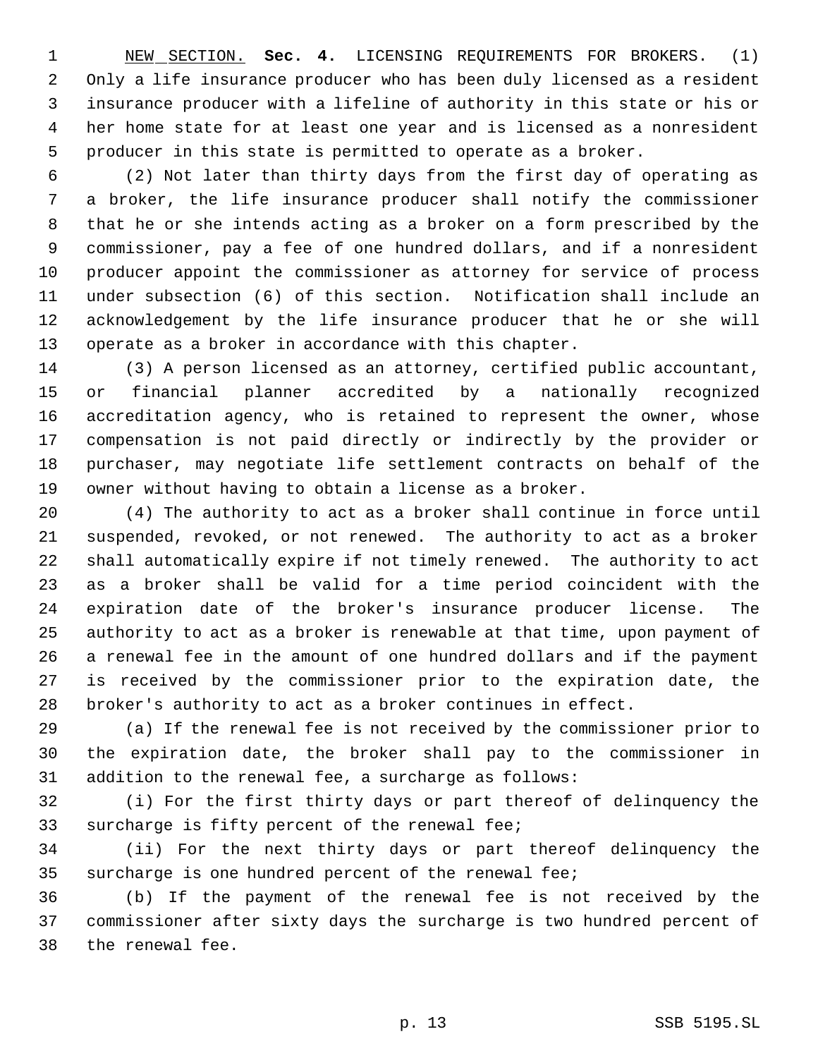NEW SECTION. **Sec. 4.** LICENSING REQUIREMENTS FOR BROKERS. (1) Only a life insurance producer who has been duly licensed as a resident insurance producer with a lifeline of authority in this state or his or her home state for at least one year and is licensed as a nonresident producer in this state is permitted to operate as a broker.

 (2) Not later than thirty days from the first day of operating as a broker, the life insurance producer shall notify the commissioner that he or she intends acting as a broker on a form prescribed by the commissioner, pay a fee of one hundred dollars, and if a nonresident producer appoint the commissioner as attorney for service of process under subsection (6) of this section. Notification shall include an acknowledgement by the life insurance producer that he or she will operate as a broker in accordance with this chapter.

 (3) A person licensed as an attorney, certified public accountant, or financial planner accredited by a nationally recognized accreditation agency, who is retained to represent the owner, whose compensation is not paid directly or indirectly by the provider or purchaser, may negotiate life settlement contracts on behalf of the owner without having to obtain a license as a broker.

 (4) The authority to act as a broker shall continue in force until suspended, revoked, or not renewed. The authority to act as a broker shall automatically expire if not timely renewed. The authority to act as a broker shall be valid for a time period coincident with the expiration date of the broker's insurance producer license. The authority to act as a broker is renewable at that time, upon payment of a renewal fee in the amount of one hundred dollars and if the payment is received by the commissioner prior to the expiration date, the broker's authority to act as a broker continues in effect.

 (a) If the renewal fee is not received by the commissioner prior to the expiration date, the broker shall pay to the commissioner in addition to the renewal fee, a surcharge as follows:

 (i) For the first thirty days or part thereof of delinquency the surcharge is fifty percent of the renewal fee;

 (ii) For the next thirty days or part thereof delinquency the surcharge is one hundred percent of the renewal fee;

 (b) If the payment of the renewal fee is not received by the commissioner after sixty days the surcharge is two hundred percent of the renewal fee.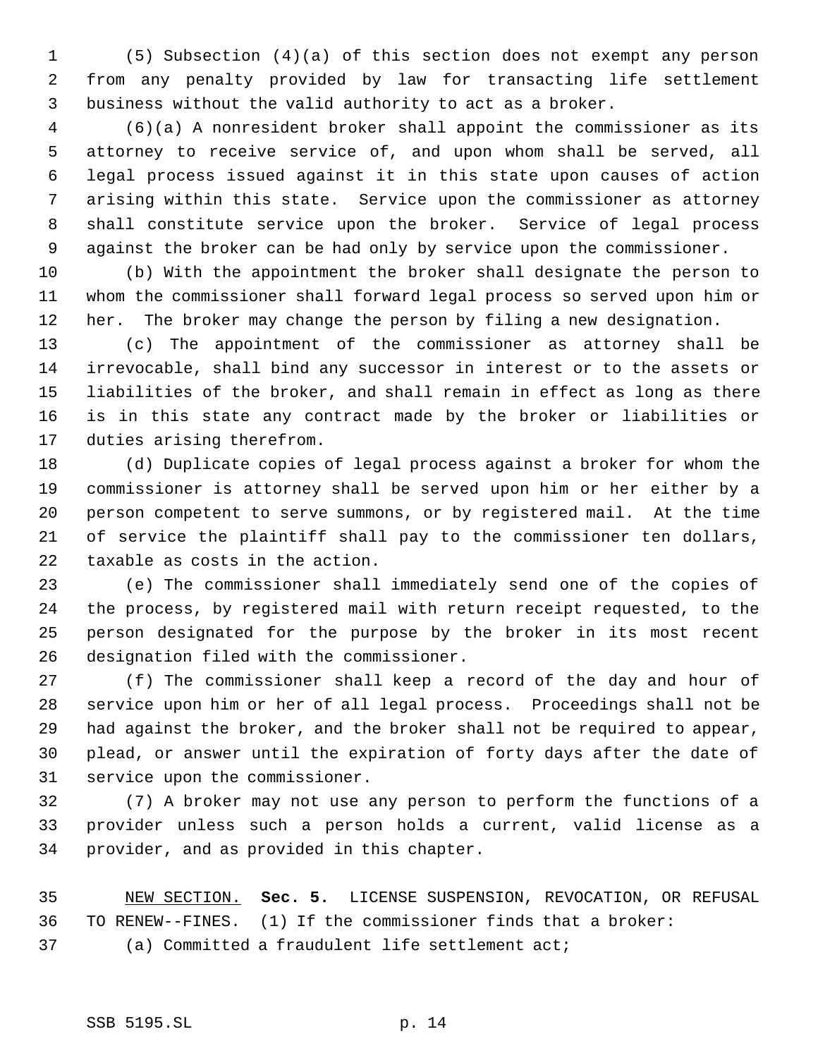(5) Subsection (4)(a) of this section does not exempt any person from any penalty provided by law for transacting life settlement business without the valid authority to act as a broker.

 (6)(a) A nonresident broker shall appoint the commissioner as its attorney to receive service of, and upon whom shall be served, all legal process issued against it in this state upon causes of action arising within this state. Service upon the commissioner as attorney shall constitute service upon the broker. Service of legal process against the broker can be had only by service upon the commissioner.

 (b) With the appointment the broker shall designate the person to whom the commissioner shall forward legal process so served upon him or her. The broker may change the person by filing a new designation.

 (c) The appointment of the commissioner as attorney shall be irrevocable, shall bind any successor in interest or to the assets or liabilities of the broker, and shall remain in effect as long as there is in this state any contract made by the broker or liabilities or duties arising therefrom.

 (d) Duplicate copies of legal process against a broker for whom the commissioner is attorney shall be served upon him or her either by a person competent to serve summons, or by registered mail. At the time of service the plaintiff shall pay to the commissioner ten dollars, taxable as costs in the action.

 (e) The commissioner shall immediately send one of the copies of the process, by registered mail with return receipt requested, to the person designated for the purpose by the broker in its most recent designation filed with the commissioner.

 (f) The commissioner shall keep a record of the day and hour of service upon him or her of all legal process. Proceedings shall not be had against the broker, and the broker shall not be required to appear, plead, or answer until the expiration of forty days after the date of service upon the commissioner.

 (7) A broker may not use any person to perform the functions of a provider unless such a person holds a current, valid license as a provider, and as provided in this chapter.

 NEW SECTION. **Sec. 5.** LICENSE SUSPENSION, REVOCATION, OR REFUSAL TO RENEW--FINES. (1) If the commissioner finds that a broker: (a) Committed a fraudulent life settlement act;

#### SSB 5195.SL p. 14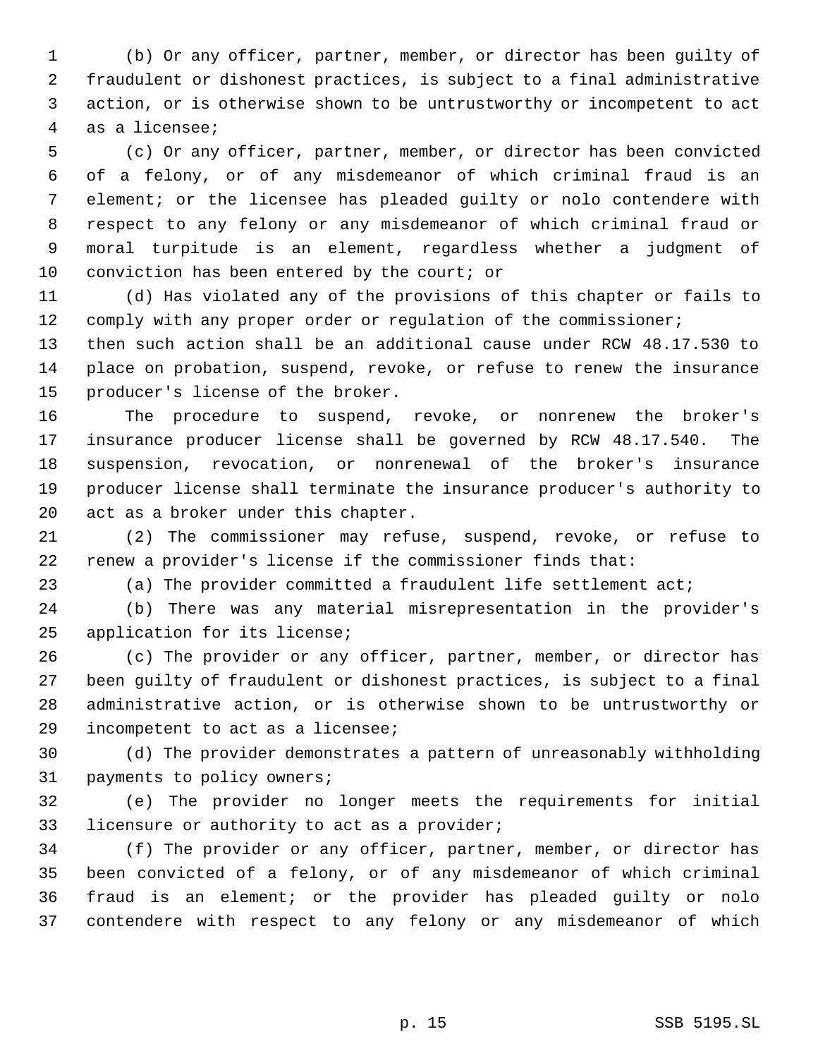(b) Or any officer, partner, member, or director has been guilty of fraudulent or dishonest practices, is subject to a final administrative action, or is otherwise shown to be untrustworthy or incompetent to act as a licensee;

 (c) Or any officer, partner, member, or director has been convicted of a felony, or of any misdemeanor of which criminal fraud is an element; or the licensee has pleaded guilty or nolo contendere with respect to any felony or any misdemeanor of which criminal fraud or moral turpitude is an element, regardless whether a judgment of 10 conviction has been entered by the court; or

 (d) Has violated any of the provisions of this chapter or fails to 12 comply with any proper order or regulation of the commissioner;

 then such action shall be an additional cause under RCW 48.17.530 to place on probation, suspend, revoke, or refuse to renew the insurance producer's license of the broker.

 The procedure to suspend, revoke, or nonrenew the broker's insurance producer license shall be governed by RCW 48.17.540. The suspension, revocation, or nonrenewal of the broker's insurance producer license shall terminate the insurance producer's authority to act as a broker under this chapter.

 (2) The commissioner may refuse, suspend, revoke, or refuse to renew a provider's license if the commissioner finds that:

(a) The provider committed a fraudulent life settlement act;

 (b) There was any material misrepresentation in the provider's application for its license;

 (c) The provider or any officer, partner, member, or director has been guilty of fraudulent or dishonest practices, is subject to a final administrative action, or is otherwise shown to be untrustworthy or incompetent to act as a licensee;

 (d) The provider demonstrates a pattern of unreasonably withholding payments to policy owners;

 (e) The provider no longer meets the requirements for initial licensure or authority to act as a provider;

 (f) The provider or any officer, partner, member, or director has been convicted of a felony, or of any misdemeanor of which criminal fraud is an element; or the provider has pleaded guilty or nolo contendere with respect to any felony or any misdemeanor of which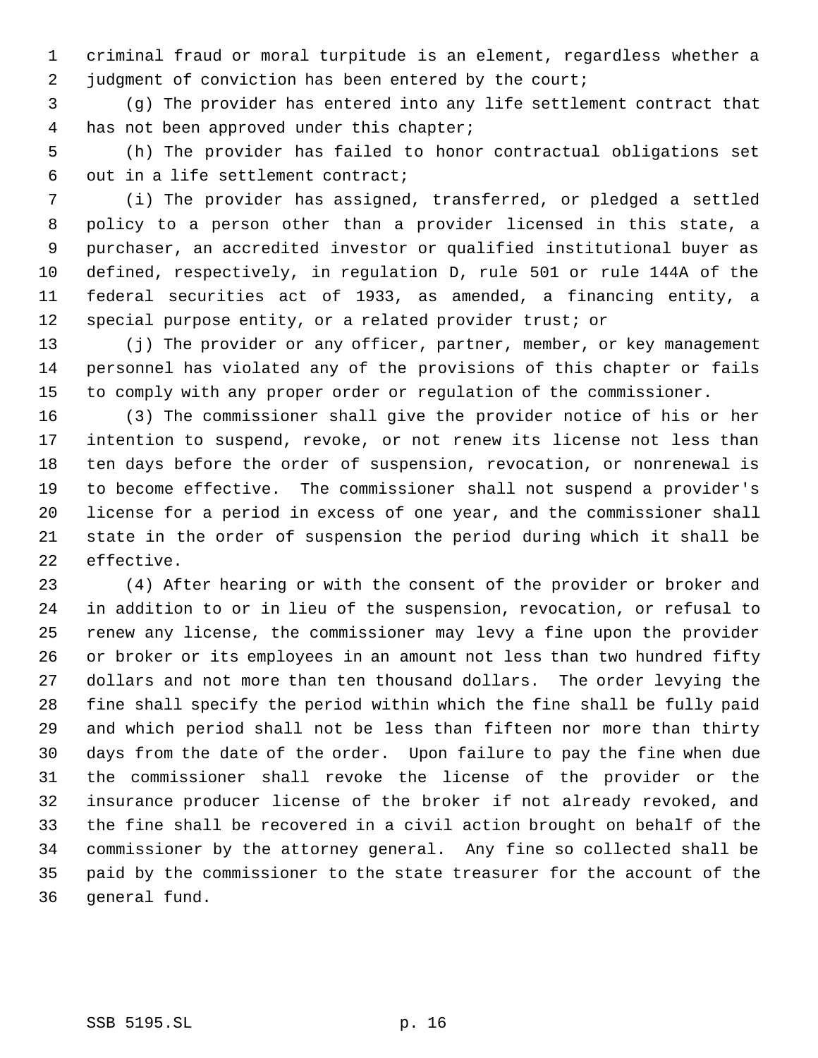criminal fraud or moral turpitude is an element, regardless whether a 2 judgment of conviction has been entered by the court;

 (g) The provider has entered into any life settlement contract that has not been approved under this chapter;

 (h) The provider has failed to honor contractual obligations set out in a life settlement contract;

 (i) The provider has assigned, transferred, or pledged a settled policy to a person other than a provider licensed in this state, a purchaser, an accredited investor or qualified institutional buyer as defined, respectively, in regulation D, rule 501 or rule 144A of the federal securities act of 1933, as amended, a financing entity, a special purpose entity, or a related provider trust; or

 (j) The provider or any officer, partner, member, or key management personnel has violated any of the provisions of this chapter or fails to comply with any proper order or regulation of the commissioner.

 (3) The commissioner shall give the provider notice of his or her intention to suspend, revoke, or not renew its license not less than ten days before the order of suspension, revocation, or nonrenewal is to become effective. The commissioner shall not suspend a provider's license for a period in excess of one year, and the commissioner shall state in the order of suspension the period during which it shall be effective.

 (4) After hearing or with the consent of the provider or broker and in addition to or in lieu of the suspension, revocation, or refusal to renew any license, the commissioner may levy a fine upon the provider or broker or its employees in an amount not less than two hundred fifty dollars and not more than ten thousand dollars. The order levying the fine shall specify the period within which the fine shall be fully paid and which period shall not be less than fifteen nor more than thirty days from the date of the order. Upon failure to pay the fine when due the commissioner shall revoke the license of the provider or the insurance producer license of the broker if not already revoked, and the fine shall be recovered in a civil action brought on behalf of the commissioner by the attorney general. Any fine so collected shall be paid by the commissioner to the state treasurer for the account of the general fund.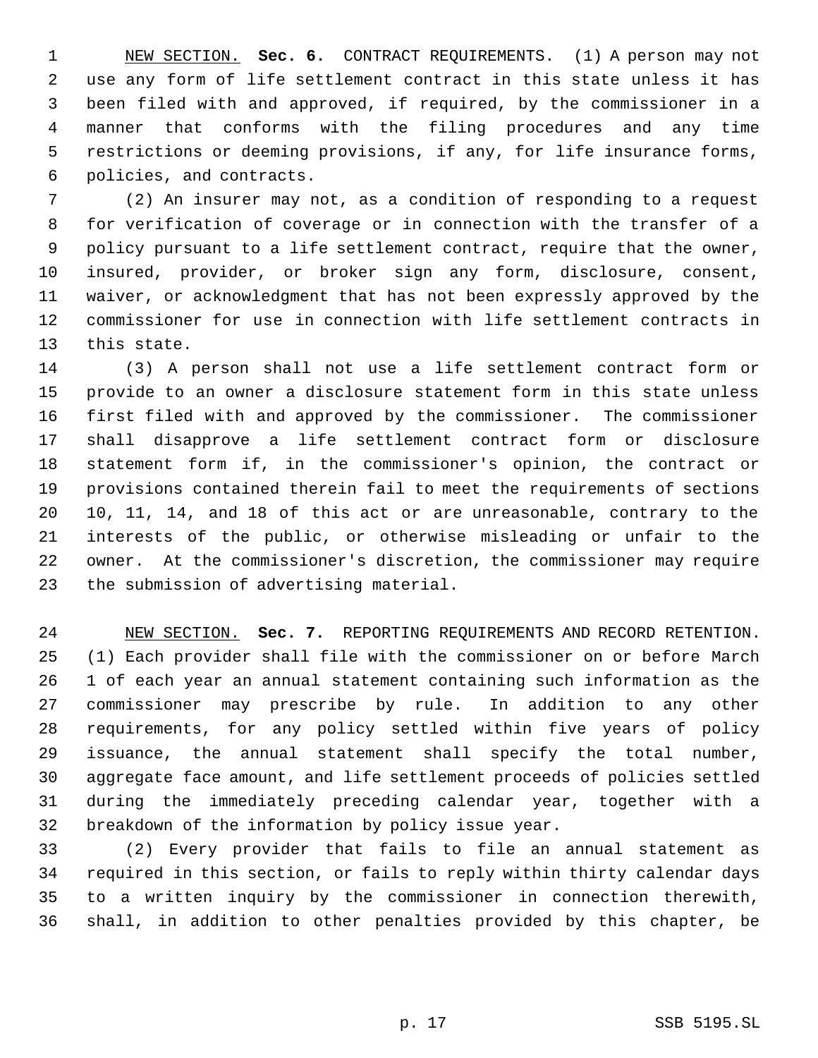NEW SECTION. **Sec. 6.** CONTRACT REQUIREMENTS. (1) A person may not use any form of life settlement contract in this state unless it has been filed with and approved, if required, by the commissioner in a manner that conforms with the filing procedures and any time restrictions or deeming provisions, if any, for life insurance forms, policies, and contracts.

 (2) An insurer may not, as a condition of responding to a request for verification of coverage or in connection with the transfer of a policy pursuant to a life settlement contract, require that the owner, insured, provider, or broker sign any form, disclosure, consent, waiver, or acknowledgment that has not been expressly approved by the commissioner for use in connection with life settlement contracts in this state.

 (3) A person shall not use a life settlement contract form or provide to an owner a disclosure statement form in this state unless first filed with and approved by the commissioner. The commissioner shall disapprove a life settlement contract form or disclosure statement form if, in the commissioner's opinion, the contract or provisions contained therein fail to meet the requirements of sections 10, 11, 14, and 18 of this act or are unreasonable, contrary to the interests of the public, or otherwise misleading or unfair to the owner. At the commissioner's discretion, the commissioner may require the submission of advertising material.

 NEW SECTION. **Sec. 7.** REPORTING REQUIREMENTS AND RECORD RETENTION. (1) Each provider shall file with the commissioner on or before March 1 of each year an annual statement containing such information as the commissioner may prescribe by rule. In addition to any other requirements, for any policy settled within five years of policy issuance, the annual statement shall specify the total number, aggregate face amount, and life settlement proceeds of policies settled during the immediately preceding calendar year, together with a breakdown of the information by policy issue year.

 (2) Every provider that fails to file an annual statement as required in this section, or fails to reply within thirty calendar days to a written inquiry by the commissioner in connection therewith, shall, in addition to other penalties provided by this chapter, be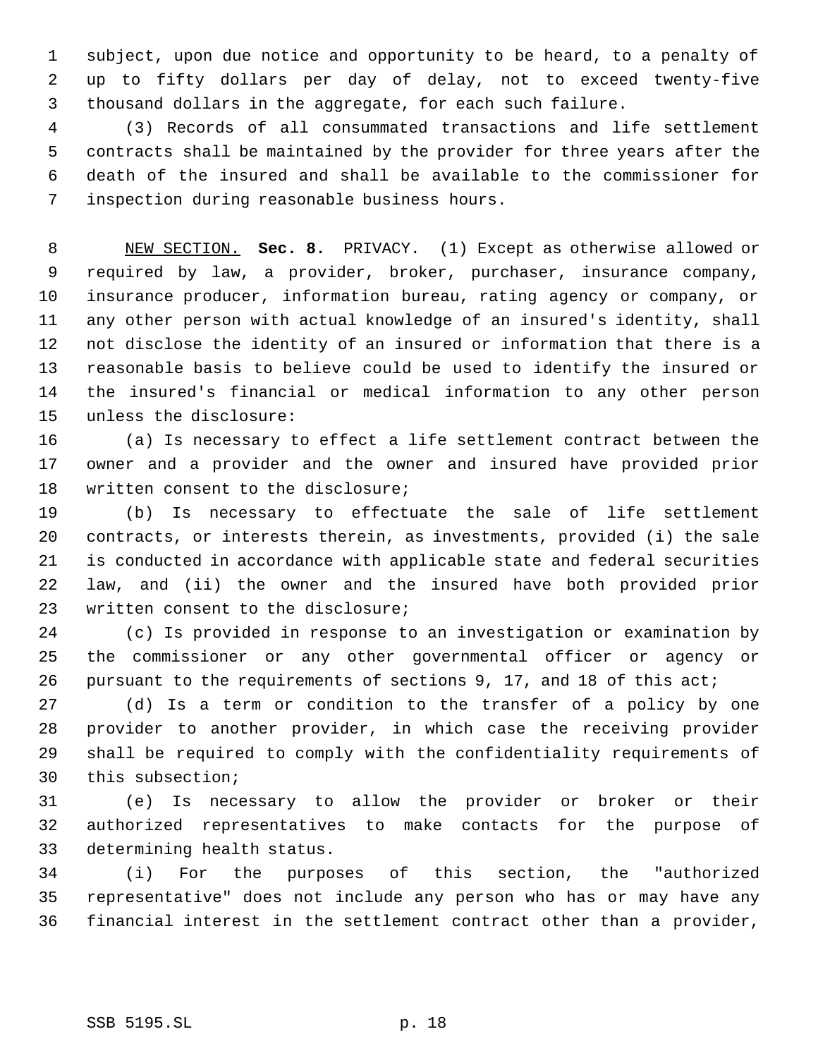subject, upon due notice and opportunity to be heard, to a penalty of up to fifty dollars per day of delay, not to exceed twenty-five thousand dollars in the aggregate, for each such failure.

 (3) Records of all consummated transactions and life settlement contracts shall be maintained by the provider for three years after the death of the insured and shall be available to the commissioner for inspection during reasonable business hours.

 NEW SECTION. **Sec. 8.** PRIVACY. (1) Except as otherwise allowed or required by law, a provider, broker, purchaser, insurance company, insurance producer, information bureau, rating agency or company, or any other person with actual knowledge of an insured's identity, shall not disclose the identity of an insured or information that there is a reasonable basis to believe could be used to identify the insured or the insured's financial or medical information to any other person unless the disclosure:

 (a) Is necessary to effect a life settlement contract between the owner and a provider and the owner and insured have provided prior written consent to the disclosure;

 (b) Is necessary to effectuate the sale of life settlement contracts, or interests therein, as investments, provided (i) the sale is conducted in accordance with applicable state and federal securities law, and (ii) the owner and the insured have both provided prior written consent to the disclosure;

 (c) Is provided in response to an investigation or examination by the commissioner or any other governmental officer or agency or pursuant to the requirements of sections 9, 17, and 18 of this act;

 (d) Is a term or condition to the transfer of a policy by one provider to another provider, in which case the receiving provider shall be required to comply with the confidentiality requirements of this subsection;

 (e) Is necessary to allow the provider or broker or their authorized representatives to make contacts for the purpose of determining health status.

 (i) For the purposes of this section, the "authorized representative" does not include any person who has or may have any financial interest in the settlement contract other than a provider,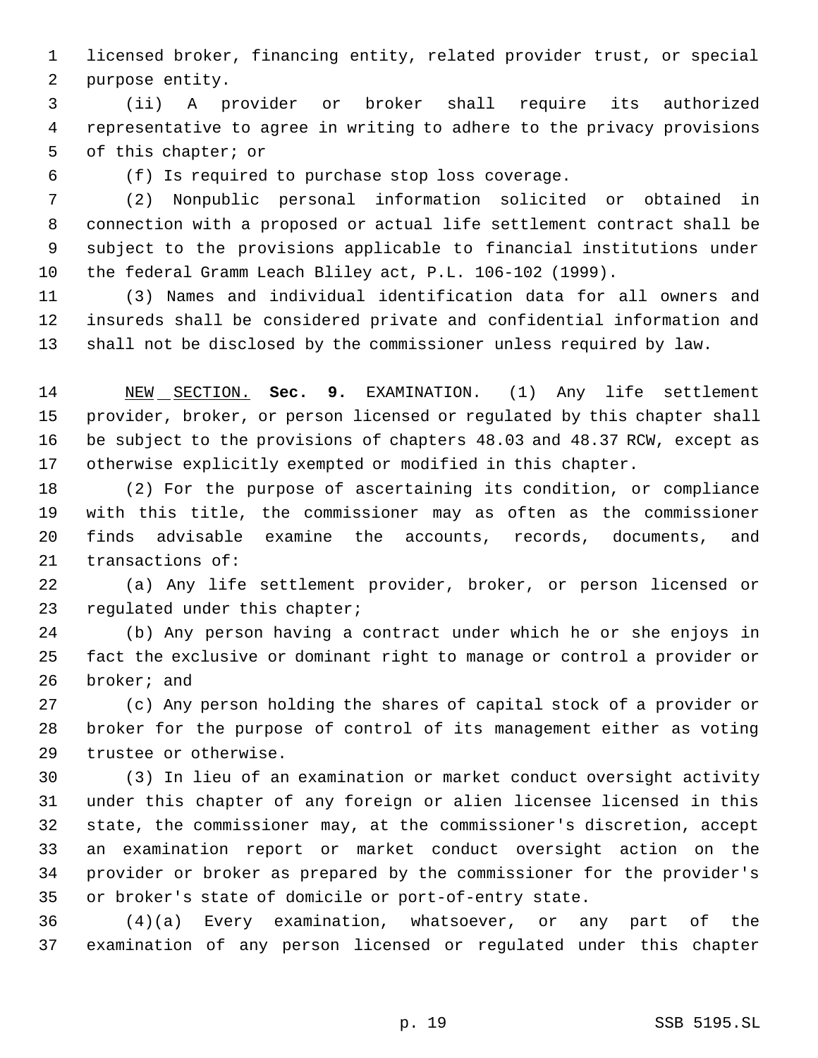licensed broker, financing entity, related provider trust, or special purpose entity.

 (ii) A provider or broker shall require its authorized representative to agree in writing to adhere to the privacy provisions of this chapter; or

(f) Is required to purchase stop loss coverage.

 (2) Nonpublic personal information solicited or obtained in connection with a proposed or actual life settlement contract shall be subject to the provisions applicable to financial institutions under the federal Gramm Leach Bliley act, P.L. 106-102 (1999).

 (3) Names and individual identification data for all owners and insureds shall be considered private and confidential information and shall not be disclosed by the commissioner unless required by law.

 NEW SECTION. **Sec. 9.** EXAMINATION. (1) Any life settlement provider, broker, or person licensed or regulated by this chapter shall be subject to the provisions of chapters 48.03 and 48.37 RCW, except as otherwise explicitly exempted or modified in this chapter.

 (2) For the purpose of ascertaining its condition, or compliance with this title, the commissioner may as often as the commissioner finds advisable examine the accounts, records, documents, and transactions of:

 (a) Any life settlement provider, broker, or person licensed or regulated under this chapter;

 (b) Any person having a contract under which he or she enjoys in fact the exclusive or dominant right to manage or control a provider or broker; and

 (c) Any person holding the shares of capital stock of a provider or broker for the purpose of control of its management either as voting trustee or otherwise.

 (3) In lieu of an examination or market conduct oversight activity under this chapter of any foreign or alien licensee licensed in this state, the commissioner may, at the commissioner's discretion, accept an examination report or market conduct oversight action on the provider or broker as prepared by the commissioner for the provider's or broker's state of domicile or port-of-entry state.

 (4)(a) Every examination, whatsoever, or any part of the examination of any person licensed or regulated under this chapter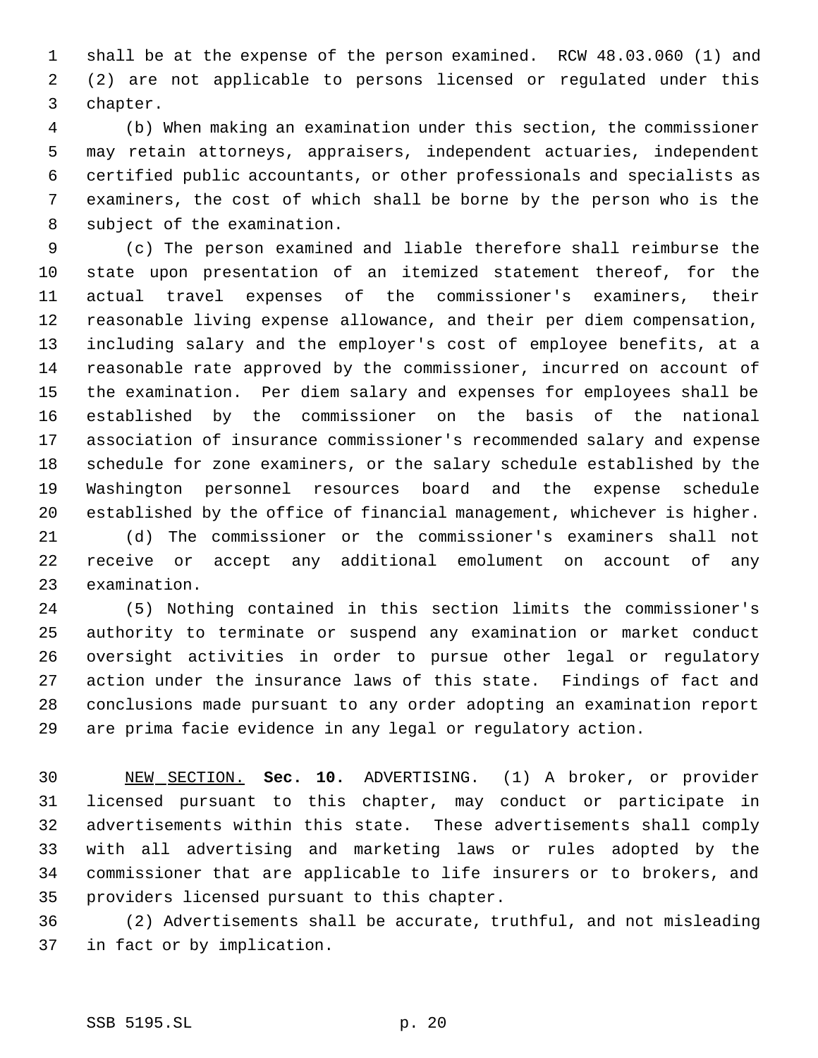shall be at the expense of the person examined. RCW 48.03.060 (1) and (2) are not applicable to persons licensed or regulated under this chapter.

 (b) When making an examination under this section, the commissioner may retain attorneys, appraisers, independent actuaries, independent certified public accountants, or other professionals and specialists as examiners, the cost of which shall be borne by the person who is the subject of the examination.

 (c) The person examined and liable therefore shall reimburse the state upon presentation of an itemized statement thereof, for the actual travel expenses of the commissioner's examiners, their reasonable living expense allowance, and their per diem compensation, including salary and the employer's cost of employee benefits, at a reasonable rate approved by the commissioner, incurred on account of the examination. Per diem salary and expenses for employees shall be established by the commissioner on the basis of the national association of insurance commissioner's recommended salary and expense schedule for zone examiners, or the salary schedule established by the Washington personnel resources board and the expense schedule established by the office of financial management, whichever is higher. (d) The commissioner or the commissioner's examiners shall not receive or accept any additional emolument on account of any

examination.

 (5) Nothing contained in this section limits the commissioner's authority to terminate or suspend any examination or market conduct oversight activities in order to pursue other legal or regulatory action under the insurance laws of this state. Findings of fact and conclusions made pursuant to any order adopting an examination report are prima facie evidence in any legal or regulatory action.

 NEW SECTION. **Sec. 10.** ADVERTISING. (1) A broker, or provider licensed pursuant to this chapter, may conduct or participate in advertisements within this state. These advertisements shall comply with all advertising and marketing laws or rules adopted by the commissioner that are applicable to life insurers or to brokers, and providers licensed pursuant to this chapter.

 (2) Advertisements shall be accurate, truthful, and not misleading in fact or by implication.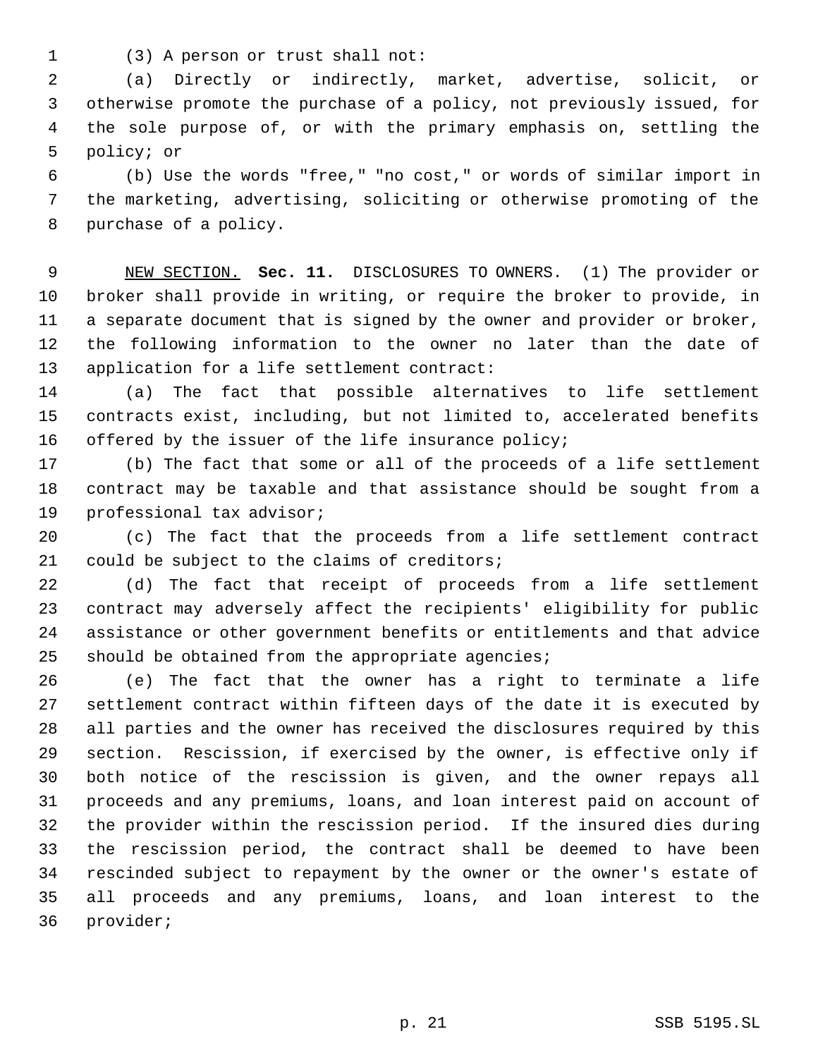(3) A person or trust shall not:

 (a) Directly or indirectly, market, advertise, solicit, or otherwise promote the purchase of a policy, not previously issued, for the sole purpose of, or with the primary emphasis on, settling the policy; or

 (b) Use the words "free," "no cost," or words of similar import in the marketing, advertising, soliciting or otherwise promoting of the purchase of a policy.

 NEW SECTION. **Sec. 11.** DISCLOSURES TO OWNERS. (1) The provider or broker shall provide in writing, or require the broker to provide, in a separate document that is signed by the owner and provider or broker, the following information to the owner no later than the date of application for a life settlement contract:

 (a) The fact that possible alternatives to life settlement contracts exist, including, but not limited to, accelerated benefits offered by the issuer of the life insurance policy;

 (b) The fact that some or all of the proceeds of a life settlement contract may be taxable and that assistance should be sought from a professional tax advisor;

 (c) The fact that the proceeds from a life settlement contract 21 could be subject to the claims of creditors;

 (d) The fact that receipt of proceeds from a life settlement contract may adversely affect the recipients' eligibility for public assistance or other government benefits or entitlements and that advice should be obtained from the appropriate agencies;

 (e) The fact that the owner has a right to terminate a life settlement contract within fifteen days of the date it is executed by all parties and the owner has received the disclosures required by this section. Rescission, if exercised by the owner, is effective only if both notice of the rescission is given, and the owner repays all proceeds and any premiums, loans, and loan interest paid on account of the provider within the rescission period. If the insured dies during the rescission period, the contract shall be deemed to have been rescinded subject to repayment by the owner or the owner's estate of all proceeds and any premiums, loans, and loan interest to the provider;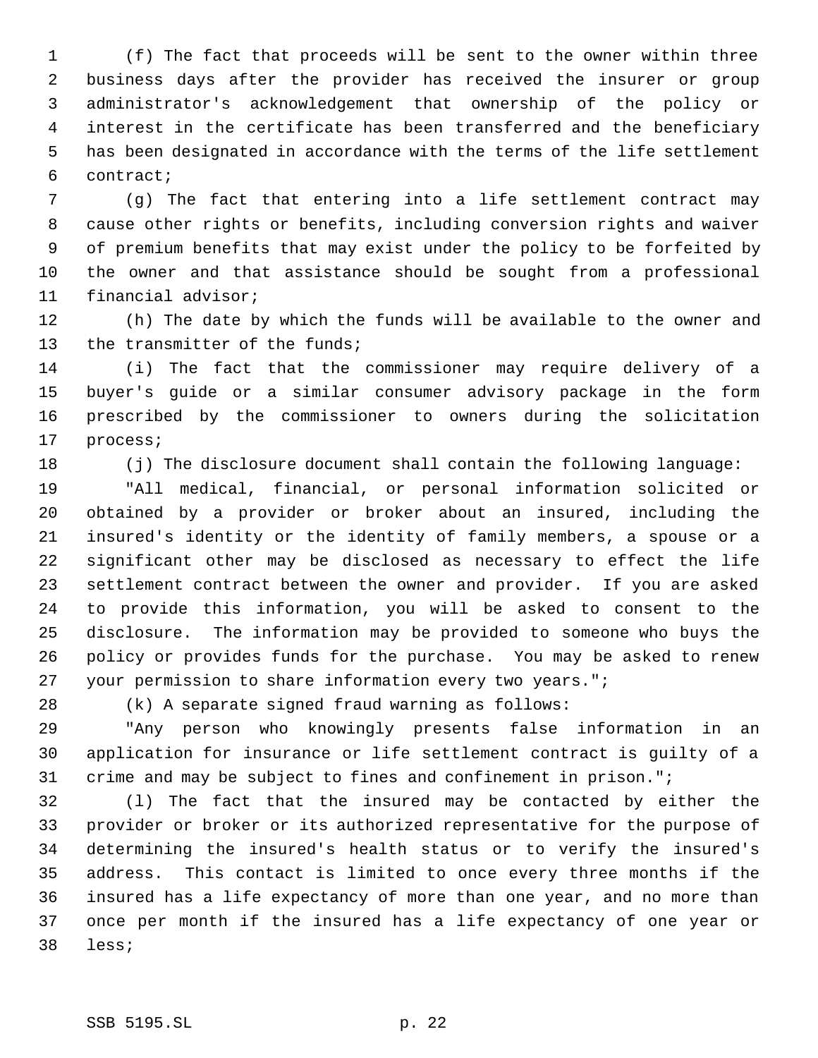(f) The fact that proceeds will be sent to the owner within three business days after the provider has received the insurer or group administrator's acknowledgement that ownership of the policy or interest in the certificate has been transferred and the beneficiary has been designated in accordance with the terms of the life settlement contract;

 (g) The fact that entering into a life settlement contract may cause other rights or benefits, including conversion rights and waiver of premium benefits that may exist under the policy to be forfeited by the owner and that assistance should be sought from a professional financial advisor;

 (h) The date by which the funds will be available to the owner and 13 the transmitter of the funds;

 (i) The fact that the commissioner may require delivery of a buyer's guide or a similar consumer advisory package in the form prescribed by the commissioner to owners during the solicitation process;

(j) The disclosure document shall contain the following language:

 "All medical, financial, or personal information solicited or obtained by a provider or broker about an insured, including the insured's identity or the identity of family members, a spouse or a significant other may be disclosed as necessary to effect the life settlement contract between the owner and provider. If you are asked to provide this information, you will be asked to consent to the disclosure. The information may be provided to someone who buys the policy or provides funds for the purchase. You may be asked to renew your permission to share information every two years.";

(k) A separate signed fraud warning as follows:

 "Any person who knowingly presents false information in an application for insurance or life settlement contract is guilty of a crime and may be subject to fines and confinement in prison.";

 (l) The fact that the insured may be contacted by either the provider or broker or its authorized representative for the purpose of determining the insured's health status or to verify the insured's address. This contact is limited to once every three months if the insured has a life expectancy of more than one year, and no more than once per month if the insured has a life expectancy of one year or less;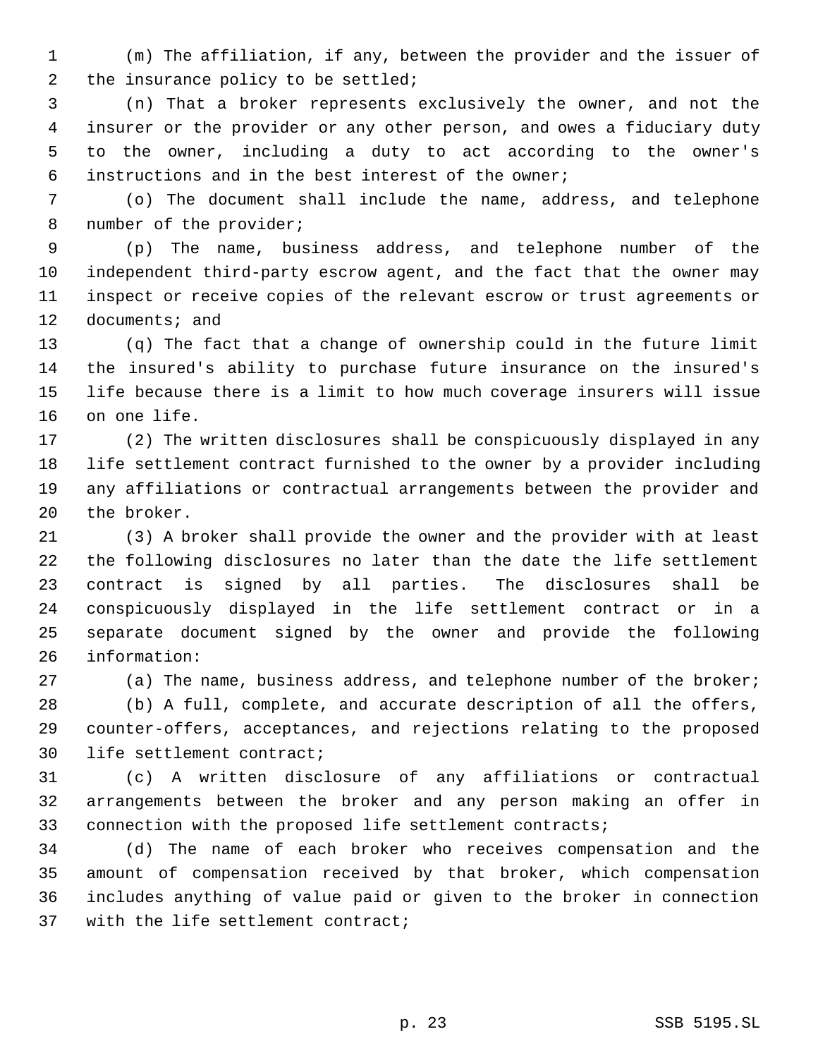(m) The affiliation, if any, between the provider and the issuer of 2 the insurance policy to be settled;

 (n) That a broker represents exclusively the owner, and not the insurer or the provider or any other person, and owes a fiduciary duty to the owner, including a duty to act according to the owner's instructions and in the best interest of the owner;

 (o) The document shall include the name, address, and telephone number of the provider;

 (p) The name, business address, and telephone number of the independent third-party escrow agent, and the fact that the owner may inspect or receive copies of the relevant escrow or trust agreements or 12 documents; and

 (q) The fact that a change of ownership could in the future limit the insured's ability to purchase future insurance on the insured's life because there is a limit to how much coverage insurers will issue on one life.

 (2) The written disclosures shall be conspicuously displayed in any life settlement contract furnished to the owner by a provider including any affiliations or contractual arrangements between the provider and the broker.

 (3) A broker shall provide the owner and the provider with at least the following disclosures no later than the date the life settlement contract is signed by all parties. The disclosures shall be conspicuously displayed in the life settlement contract or in a separate document signed by the owner and provide the following information:

(a) The name, business address, and telephone number of the broker;

 (b) A full, complete, and accurate description of all the offers, counter-offers, acceptances, and rejections relating to the proposed life settlement contract;

 (c) A written disclosure of any affiliations or contractual arrangements between the broker and any person making an offer in connection with the proposed life settlement contracts;

 (d) The name of each broker who receives compensation and the amount of compensation received by that broker, which compensation includes anything of value paid or given to the broker in connection with the life settlement contract;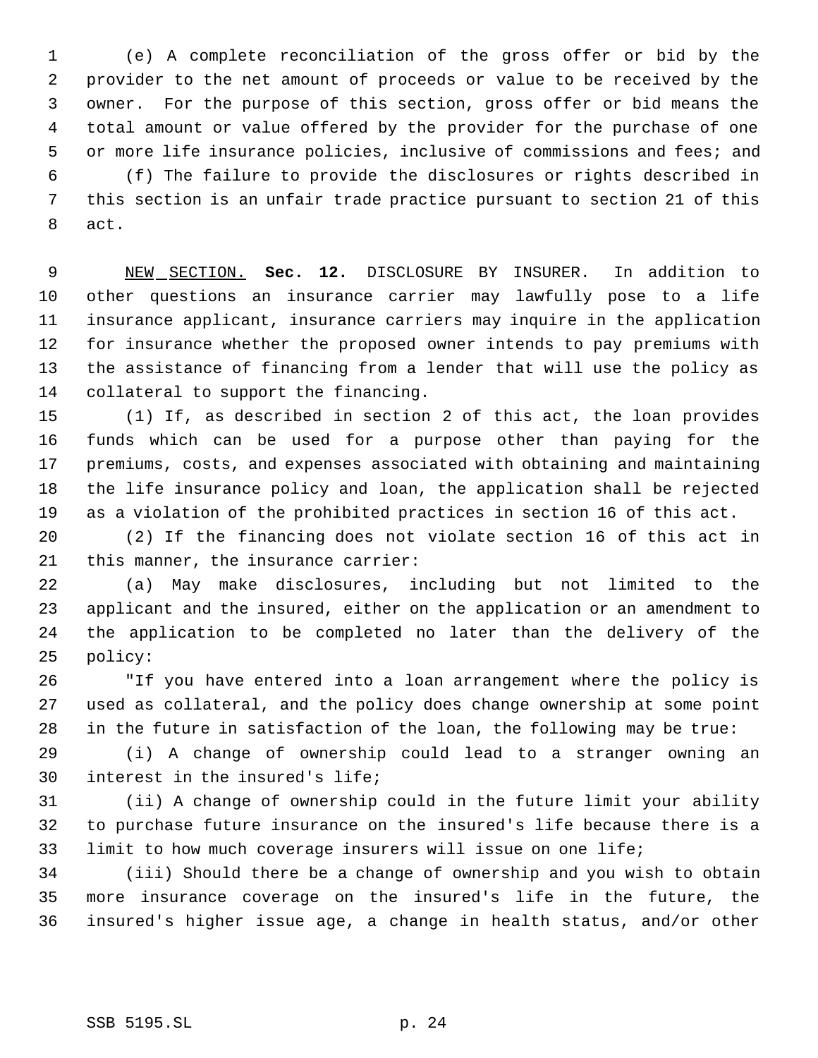(e) A complete reconciliation of the gross offer or bid by the provider to the net amount of proceeds or value to be received by the owner. For the purpose of this section, gross offer or bid means the total amount or value offered by the provider for the purchase of one or more life insurance policies, inclusive of commissions and fees; and (f) The failure to provide the disclosures or rights described in this section is an unfair trade practice pursuant to section 21 of this act.

 NEW SECTION. **Sec. 12.** DISCLOSURE BY INSURER. In addition to other questions an insurance carrier may lawfully pose to a life insurance applicant, insurance carriers may inquire in the application for insurance whether the proposed owner intends to pay premiums with the assistance of financing from a lender that will use the policy as collateral to support the financing.

 (1) If, as described in section 2 of this act, the loan provides funds which can be used for a purpose other than paying for the premiums, costs, and expenses associated with obtaining and maintaining the life insurance policy and loan, the application shall be rejected as a violation of the prohibited practices in section 16 of this act.

 (2) If the financing does not violate section 16 of this act in this manner, the insurance carrier:

 (a) May make disclosures, including but not limited to the applicant and the insured, either on the application or an amendment to the application to be completed no later than the delivery of the policy:

 "If you have entered into a loan arrangement where the policy is used as collateral, and the policy does change ownership at some point in the future in satisfaction of the loan, the following may be true:

 (i) A change of ownership could lead to a stranger owning an interest in the insured's life;

 (ii) A change of ownership could in the future limit your ability to purchase future insurance on the insured's life because there is a limit to how much coverage insurers will issue on one life;

 (iii) Should there be a change of ownership and you wish to obtain more insurance coverage on the insured's life in the future, the insured's higher issue age, a change in health status, and/or other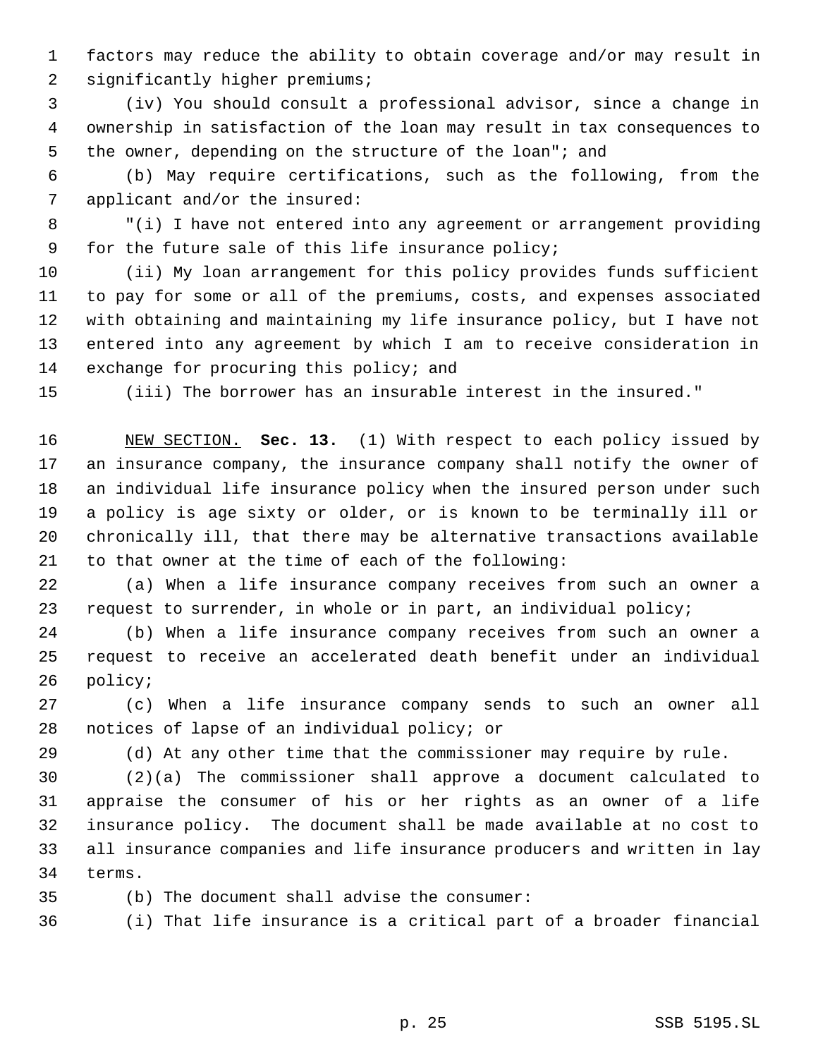factors may reduce the ability to obtain coverage and/or may result in significantly higher premiums;

 (iv) You should consult a professional advisor, since a change in ownership in satisfaction of the loan may result in tax consequences to the owner, depending on the structure of the loan"; and

 (b) May require certifications, such as the following, from the applicant and/or the insured:

 "(i) I have not entered into any agreement or arrangement providing for the future sale of this life insurance policy;

 (ii) My loan arrangement for this policy provides funds sufficient to pay for some or all of the premiums, costs, and expenses associated with obtaining and maintaining my life insurance policy, but I have not entered into any agreement by which I am to receive consideration in 14 exchange for procuring this policy; and

(iii) The borrower has an insurable interest in the insured."

 NEW SECTION. **Sec. 13.** (1) With respect to each policy issued by an insurance company, the insurance company shall notify the owner of an individual life insurance policy when the insured person under such a policy is age sixty or older, or is known to be terminally ill or chronically ill, that there may be alternative transactions available to that owner at the time of each of the following:

 (a) When a life insurance company receives from such an owner a request to surrender, in whole or in part, an individual policy;

 (b) When a life insurance company receives from such an owner a request to receive an accelerated death benefit under an individual policy;

 (c) When a life insurance company sends to such an owner all notices of lapse of an individual policy; or

(d) At any other time that the commissioner may require by rule.

 (2)(a) The commissioner shall approve a document calculated to appraise the consumer of his or her rights as an owner of a life insurance policy. The document shall be made available at no cost to all insurance companies and life insurance producers and written in lay terms.

(b) The document shall advise the consumer:

(i) That life insurance is a critical part of a broader financial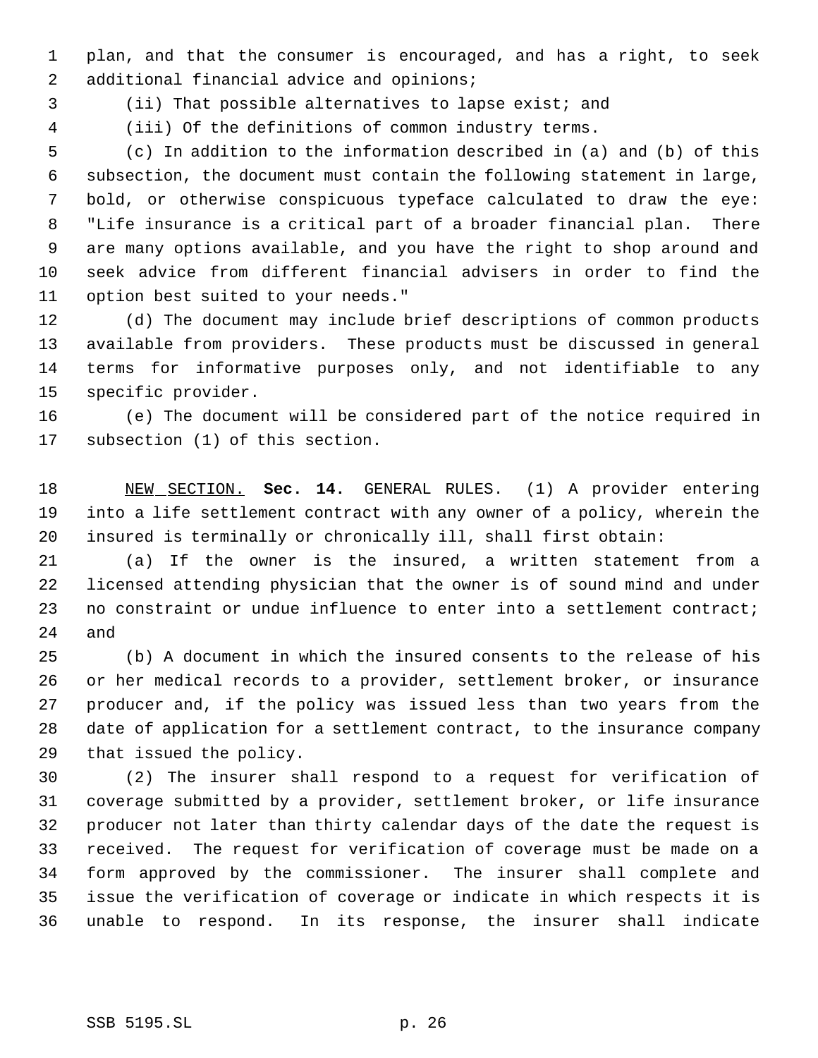plan, and that the consumer is encouraged, and has a right, to seek 2 additional financial advice and opinions;

(ii) That possible alternatives to lapse exist; and

(iii) Of the definitions of common industry terms.

 (c) In addition to the information described in (a) and (b) of this subsection, the document must contain the following statement in large, bold, or otherwise conspicuous typeface calculated to draw the eye: "Life insurance is a critical part of a broader financial plan. There are many options available, and you have the right to shop around and seek advice from different financial advisers in order to find the option best suited to your needs."

 (d) The document may include brief descriptions of common products available from providers. These products must be discussed in general terms for informative purposes only, and not identifiable to any specific provider.

 (e) The document will be considered part of the notice required in subsection (1) of this section.

 NEW SECTION. **Sec. 14.** GENERAL RULES. (1) A provider entering into a life settlement contract with any owner of a policy, wherein the insured is terminally or chronically ill, shall first obtain:

 (a) If the owner is the insured, a written statement from a licensed attending physician that the owner is of sound mind and under 23 no constraint or undue influence to enter into a settlement contract; and

 (b) A document in which the insured consents to the release of his or her medical records to a provider, settlement broker, or insurance producer and, if the policy was issued less than two years from the date of application for a settlement contract, to the insurance company that issued the policy.

 (2) The insurer shall respond to a request for verification of coverage submitted by a provider, settlement broker, or life insurance producer not later than thirty calendar days of the date the request is received. The request for verification of coverage must be made on a form approved by the commissioner. The insurer shall complete and issue the verification of coverage or indicate in which respects it is unable to respond. In its response, the insurer shall indicate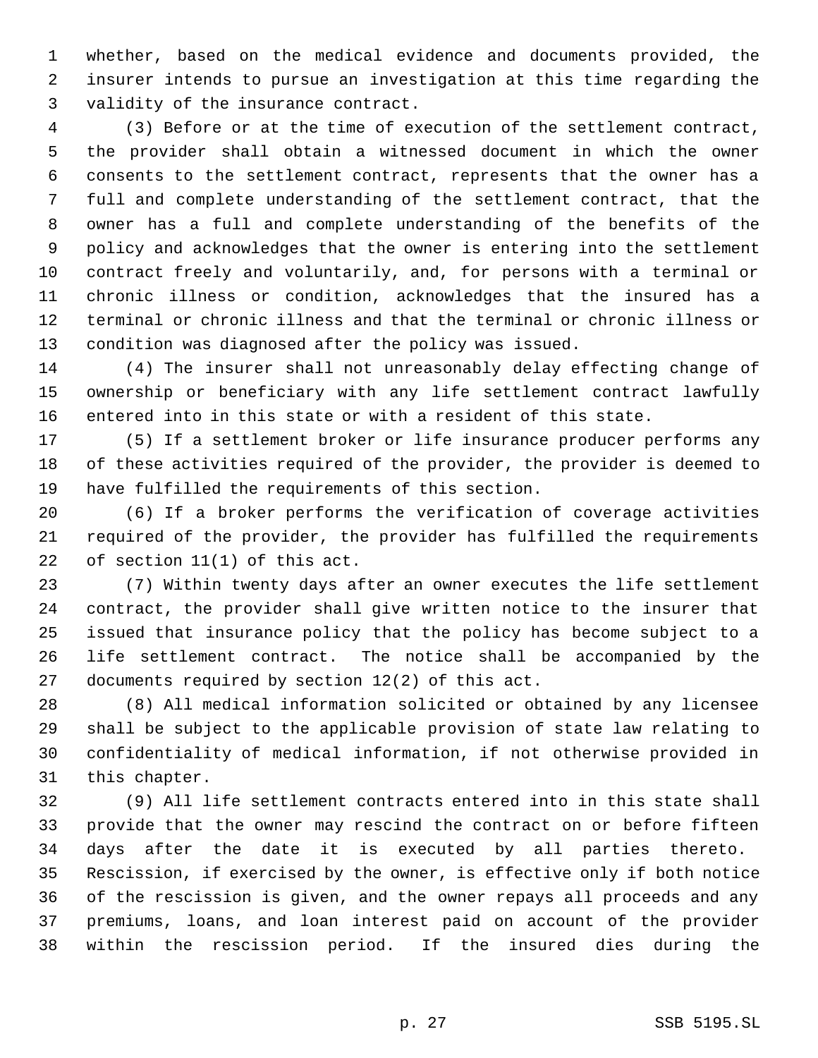whether, based on the medical evidence and documents provided, the insurer intends to pursue an investigation at this time regarding the validity of the insurance contract.

 (3) Before or at the time of execution of the settlement contract, the provider shall obtain a witnessed document in which the owner consents to the settlement contract, represents that the owner has a full and complete understanding of the settlement contract, that the owner has a full and complete understanding of the benefits of the policy and acknowledges that the owner is entering into the settlement contract freely and voluntarily, and, for persons with a terminal or chronic illness or condition, acknowledges that the insured has a terminal or chronic illness and that the terminal or chronic illness or condition was diagnosed after the policy was issued.

 (4) The insurer shall not unreasonably delay effecting change of ownership or beneficiary with any life settlement contract lawfully entered into in this state or with a resident of this state.

 (5) If a settlement broker or life insurance producer performs any of these activities required of the provider, the provider is deemed to have fulfilled the requirements of this section.

 (6) If a broker performs the verification of coverage activities required of the provider, the provider has fulfilled the requirements of section 11(1) of this act.

 (7) Within twenty days after an owner executes the life settlement contract, the provider shall give written notice to the insurer that issued that insurance policy that the policy has become subject to a life settlement contract. The notice shall be accompanied by the documents required by section 12(2) of this act.

 (8) All medical information solicited or obtained by any licensee shall be subject to the applicable provision of state law relating to confidentiality of medical information, if not otherwise provided in this chapter.

 (9) All life settlement contracts entered into in this state shall provide that the owner may rescind the contract on or before fifteen days after the date it is executed by all parties thereto. Rescission, if exercised by the owner, is effective only if both notice of the rescission is given, and the owner repays all proceeds and any premiums, loans, and loan interest paid on account of the provider within the rescission period. If the insured dies during the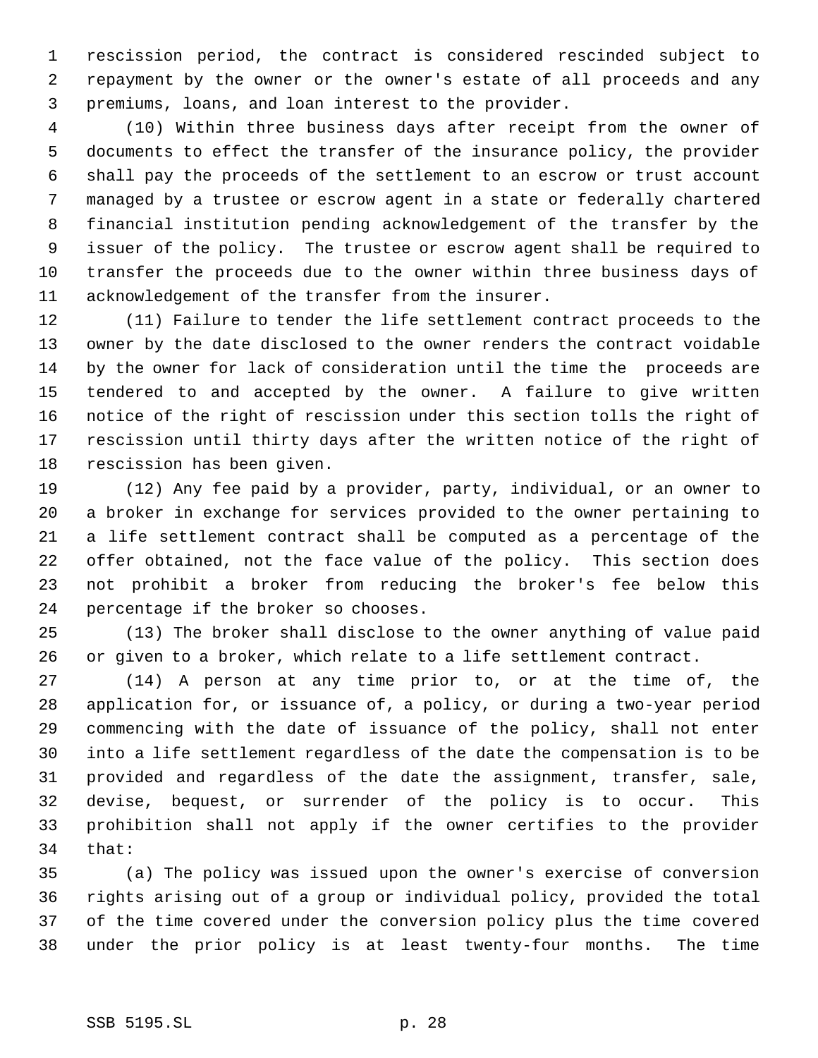rescission period, the contract is considered rescinded subject to repayment by the owner or the owner's estate of all proceeds and any premiums, loans, and loan interest to the provider.

 (10) Within three business days after receipt from the owner of documents to effect the transfer of the insurance policy, the provider shall pay the proceeds of the settlement to an escrow or trust account managed by a trustee or escrow agent in a state or federally chartered financial institution pending acknowledgement of the transfer by the issuer of the policy. The trustee or escrow agent shall be required to transfer the proceeds due to the owner within three business days of acknowledgement of the transfer from the insurer.

 (11) Failure to tender the life settlement contract proceeds to the owner by the date disclosed to the owner renders the contract voidable by the owner for lack of consideration until the time the proceeds are tendered to and accepted by the owner. A failure to give written notice of the right of rescission under this section tolls the right of rescission until thirty days after the written notice of the right of rescission has been given.

 (12) Any fee paid by a provider, party, individual, or an owner to a broker in exchange for services provided to the owner pertaining to a life settlement contract shall be computed as a percentage of the offer obtained, not the face value of the policy. This section does not prohibit a broker from reducing the broker's fee below this percentage if the broker so chooses.

 (13) The broker shall disclose to the owner anything of value paid or given to a broker, which relate to a life settlement contract.

 (14) A person at any time prior to, or at the time of, the application for, or issuance of, a policy, or during a two-year period commencing with the date of issuance of the policy, shall not enter into a life settlement regardless of the date the compensation is to be provided and regardless of the date the assignment, transfer, sale, devise, bequest, or surrender of the policy is to occur. This prohibition shall not apply if the owner certifies to the provider that:

 (a) The policy was issued upon the owner's exercise of conversion rights arising out of a group or individual policy, provided the total of the time covered under the conversion policy plus the time covered under the prior policy is at least twenty-four months. The time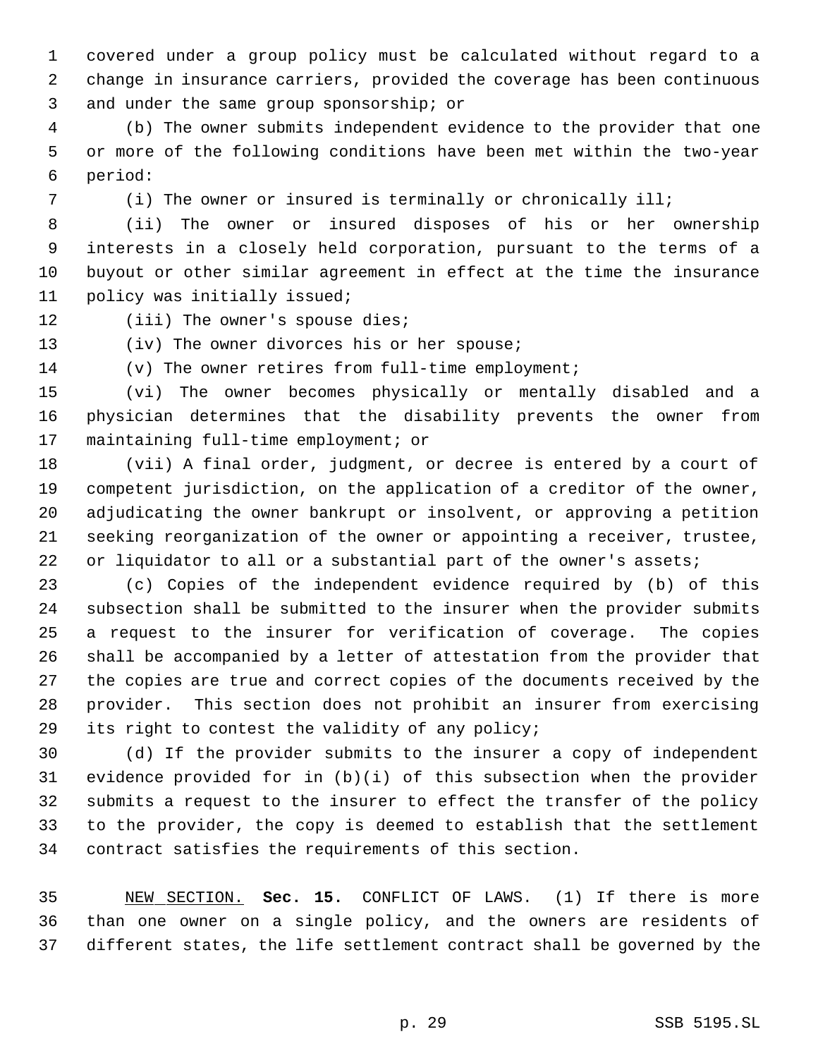covered under a group policy must be calculated without regard to a change in insurance carriers, provided the coverage has been continuous and under the same group sponsorship; or

 (b) The owner submits independent evidence to the provider that one or more of the following conditions have been met within the two-year period:

(i) The owner or insured is terminally or chronically ill;

 (ii) The owner or insured disposes of his or her ownership interests in a closely held corporation, pursuant to the terms of a buyout or other similar agreement in effect at the time the insurance policy was initially issued;

12 (iii) The owner's spouse dies;

13 (iv) The owner divorces his or her spouse;

(v) The owner retires from full-time employment;

 (vi) The owner becomes physically or mentally disabled and a physician determines that the disability prevents the owner from maintaining full-time employment; or

 (vii) A final order, judgment, or decree is entered by a court of competent jurisdiction, on the application of a creditor of the owner, adjudicating the owner bankrupt or insolvent, or approving a petition seeking reorganization of the owner or appointing a receiver, trustee, 22 or liquidator to all or a substantial part of the owner's assets;

 (c) Copies of the independent evidence required by (b) of this subsection shall be submitted to the insurer when the provider submits a request to the insurer for verification of coverage. The copies shall be accompanied by a letter of attestation from the provider that the copies are true and correct copies of the documents received by the provider. This section does not prohibit an insurer from exercising its right to contest the validity of any policy;

 (d) If the provider submits to the insurer a copy of independent evidence provided for in (b)(i) of this subsection when the provider submits a request to the insurer to effect the transfer of the policy to the provider, the copy is deemed to establish that the settlement contract satisfies the requirements of this section.

 NEW SECTION. **Sec. 15.** CONFLICT OF LAWS. (1) If there is more than one owner on a single policy, and the owners are residents of different states, the life settlement contract shall be governed by the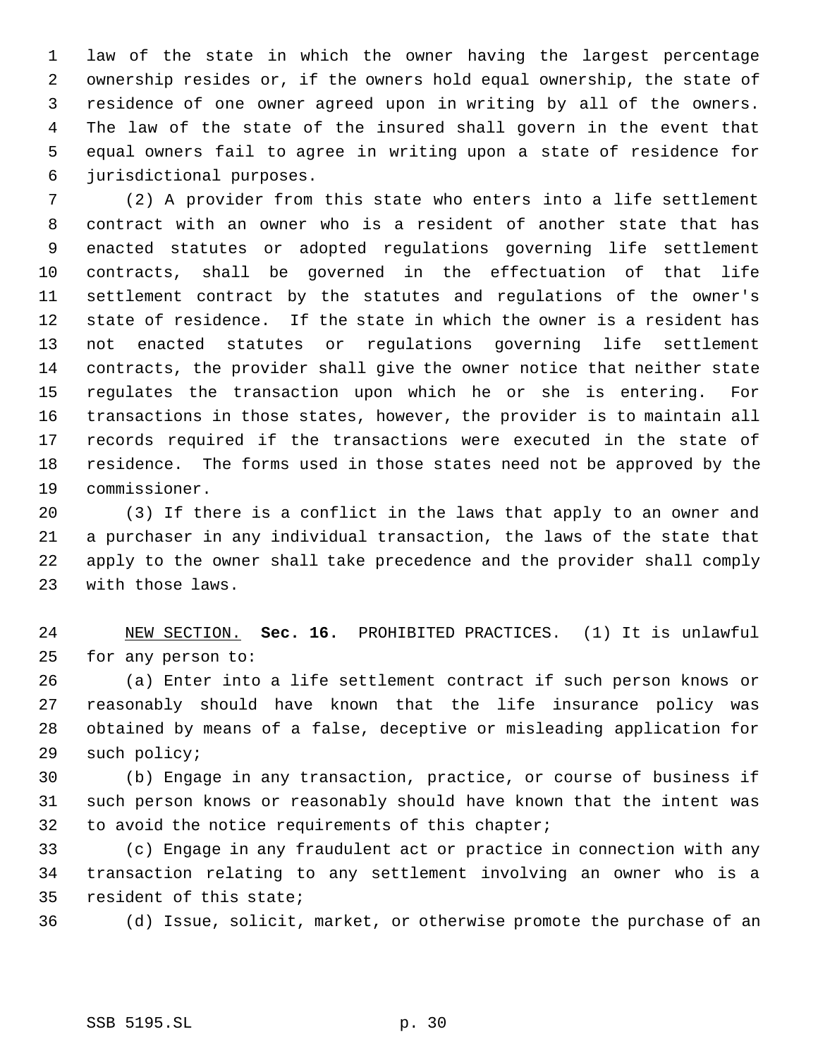law of the state in which the owner having the largest percentage ownership resides or, if the owners hold equal ownership, the state of residence of one owner agreed upon in writing by all of the owners. The law of the state of the insured shall govern in the event that equal owners fail to agree in writing upon a state of residence for jurisdictional purposes.

 (2) A provider from this state who enters into a life settlement contract with an owner who is a resident of another state that has enacted statutes or adopted regulations governing life settlement contracts, shall be governed in the effectuation of that life settlement contract by the statutes and regulations of the owner's state of residence. If the state in which the owner is a resident has not enacted statutes or regulations governing life settlement contracts, the provider shall give the owner notice that neither state regulates the transaction upon which he or she is entering. For transactions in those states, however, the provider is to maintain all records required if the transactions were executed in the state of residence. The forms used in those states need not be approved by the commissioner.

 (3) If there is a conflict in the laws that apply to an owner and a purchaser in any individual transaction, the laws of the state that apply to the owner shall take precedence and the provider shall comply with those laws.

 NEW SECTION. **Sec. 16.** PROHIBITED PRACTICES. (1) It is unlawful for any person to:

 (a) Enter into a life settlement contract if such person knows or reasonably should have known that the life insurance policy was obtained by means of a false, deceptive or misleading application for such policy;

 (b) Engage in any transaction, practice, or course of business if such person knows or reasonably should have known that the intent was to avoid the notice requirements of this chapter;

 (c) Engage in any fraudulent act or practice in connection with any transaction relating to any settlement involving an owner who is a resident of this state;

(d) Issue, solicit, market, or otherwise promote the purchase of an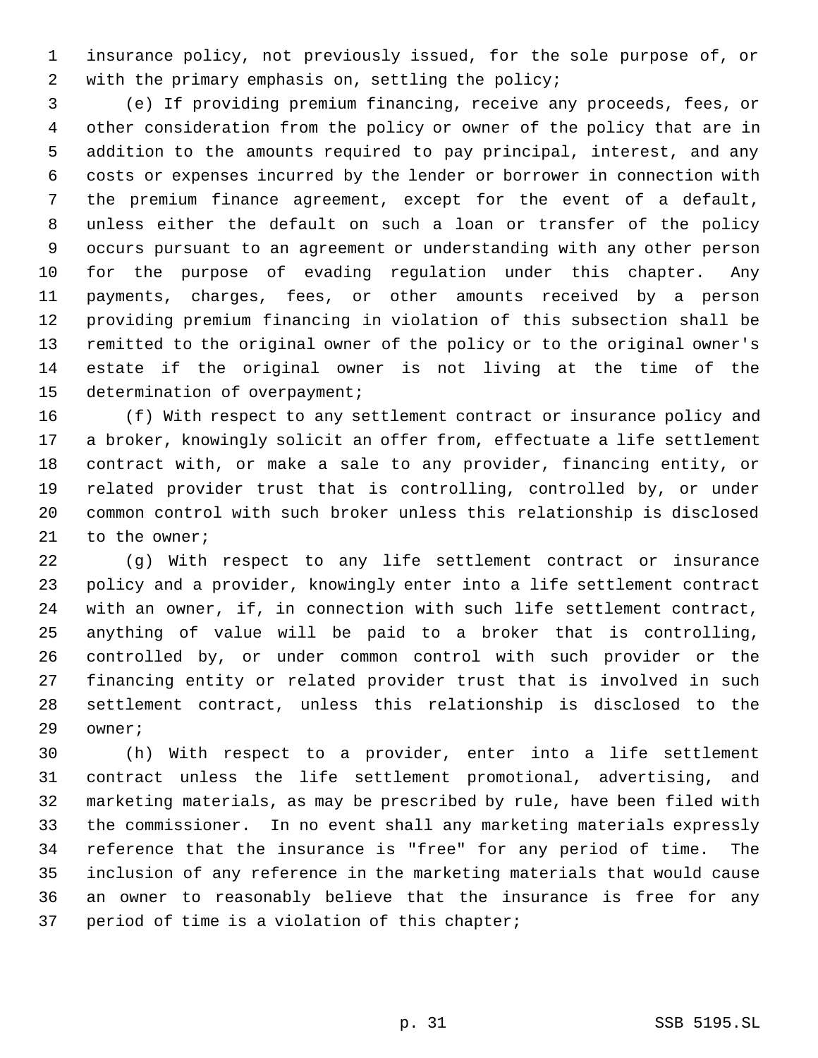insurance policy, not previously issued, for the sole purpose of, or with the primary emphasis on, settling the policy;

 (e) If providing premium financing, receive any proceeds, fees, or other consideration from the policy or owner of the policy that are in addition to the amounts required to pay principal, interest, and any costs or expenses incurred by the lender or borrower in connection with the premium finance agreement, except for the event of a default, unless either the default on such a loan or transfer of the policy occurs pursuant to an agreement or understanding with any other person for the purpose of evading regulation under this chapter. Any payments, charges, fees, or other amounts received by a person providing premium financing in violation of this subsection shall be remitted to the original owner of the policy or to the original owner's estate if the original owner is not living at the time of the determination of overpayment;

 (f) With respect to any settlement contract or insurance policy and a broker, knowingly solicit an offer from, effectuate a life settlement contract with, or make a sale to any provider, financing entity, or related provider trust that is controlling, controlled by, or under common control with such broker unless this relationship is disclosed to the owner;

 (g) With respect to any life settlement contract or insurance policy and a provider, knowingly enter into a life settlement contract with an owner, if, in connection with such life settlement contract, anything of value will be paid to a broker that is controlling, controlled by, or under common control with such provider or the financing entity or related provider trust that is involved in such settlement contract, unless this relationship is disclosed to the owner;

 (h) With respect to a provider, enter into a life settlement contract unless the life settlement promotional, advertising, and marketing materials, as may be prescribed by rule, have been filed with the commissioner. In no event shall any marketing materials expressly reference that the insurance is "free" for any period of time. The inclusion of any reference in the marketing materials that would cause an owner to reasonably believe that the insurance is free for any period of time is a violation of this chapter;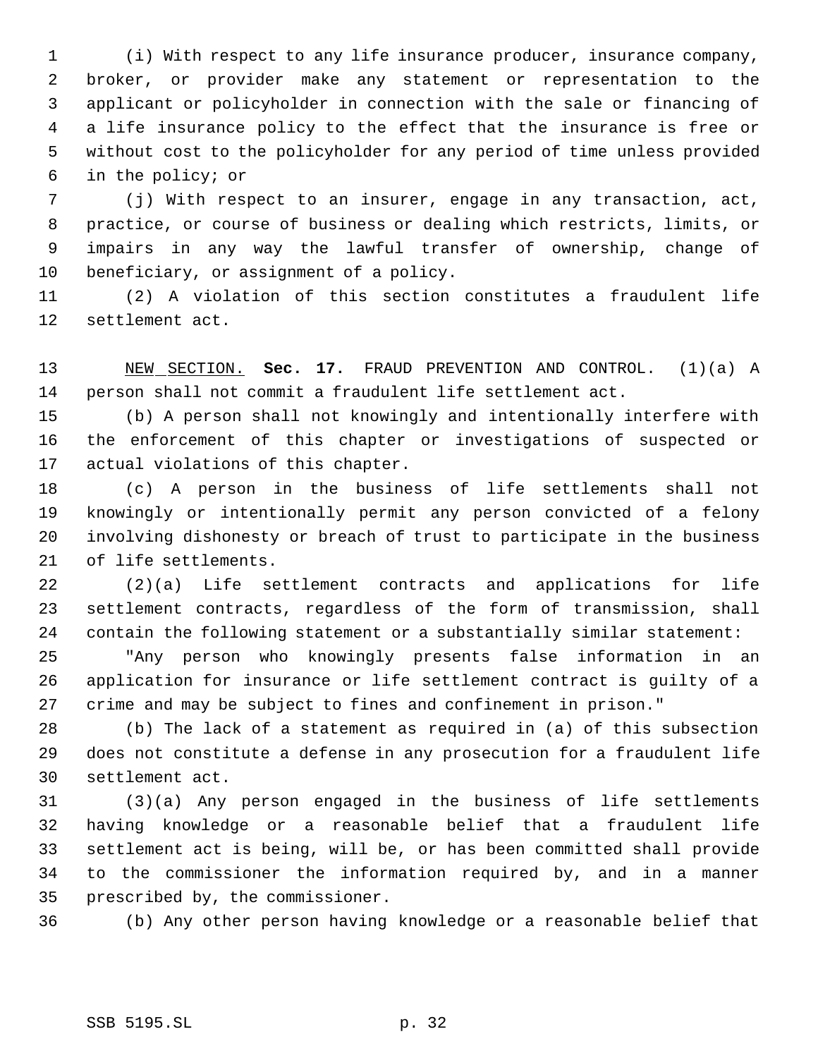(i) With respect to any life insurance producer, insurance company, broker, or provider make any statement or representation to the applicant or policyholder in connection with the sale or financing of a life insurance policy to the effect that the insurance is free or without cost to the policyholder for any period of time unless provided in the policy; or

 (j) With respect to an insurer, engage in any transaction, act, practice, or course of business or dealing which restricts, limits, or impairs in any way the lawful transfer of ownership, change of beneficiary, or assignment of a policy.

 (2) A violation of this section constitutes a fraudulent life settlement act.

 NEW SECTION. **Sec. 17.** FRAUD PREVENTION AND CONTROL. (1)(a) A person shall not commit a fraudulent life settlement act.

 (b) A person shall not knowingly and intentionally interfere with the enforcement of this chapter or investigations of suspected or actual violations of this chapter.

 (c) A person in the business of life settlements shall not knowingly or intentionally permit any person convicted of a felony involving dishonesty or breach of trust to participate in the business of life settlements.

 (2)(a) Life settlement contracts and applications for life settlement contracts, regardless of the form of transmission, shall contain the following statement or a substantially similar statement:

 "Any person who knowingly presents false information in an application for insurance or life settlement contract is guilty of a crime and may be subject to fines and confinement in prison."

 (b) The lack of a statement as required in (a) of this subsection does not constitute a defense in any prosecution for a fraudulent life settlement act.

 (3)(a) Any person engaged in the business of life settlements having knowledge or a reasonable belief that a fraudulent life settlement act is being, will be, or has been committed shall provide to the commissioner the information required by, and in a manner prescribed by, the commissioner.

(b) Any other person having knowledge or a reasonable belief that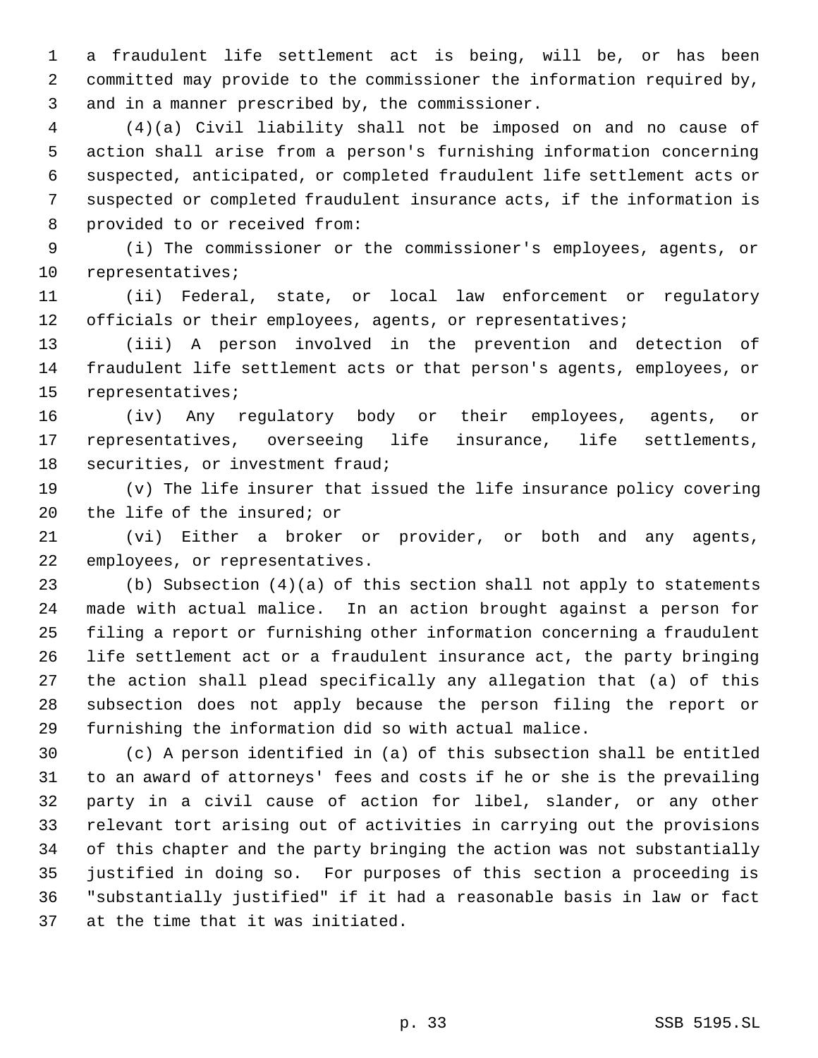a fraudulent life settlement act is being, will be, or has been committed may provide to the commissioner the information required by, and in a manner prescribed by, the commissioner.

 (4)(a) Civil liability shall not be imposed on and no cause of action shall arise from a person's furnishing information concerning suspected, anticipated, or completed fraudulent life settlement acts or suspected or completed fraudulent insurance acts, if the information is provided to or received from:

 (i) The commissioner or the commissioner's employees, agents, or representatives;

 (ii) Federal, state, or local law enforcement or regulatory 12 officials or their employees, agents, or representatives;

 (iii) A person involved in the prevention and detection of fraudulent life settlement acts or that person's agents, employees, or representatives;

 (iv) Any regulatory body or their employees, agents, or representatives, overseeing life insurance, life settlements, 18 securities, or investment fraud;

 (v) The life insurer that issued the life insurance policy covering the life of the insured; or

 (vi) Either a broker or provider, or both and any agents, employees, or representatives.

 (b) Subsection (4)(a) of this section shall not apply to statements made with actual malice. In an action brought against a person for filing a report or furnishing other information concerning a fraudulent life settlement act or a fraudulent insurance act, the party bringing the action shall plead specifically any allegation that (a) of this subsection does not apply because the person filing the report or furnishing the information did so with actual malice.

 (c) A person identified in (a) of this subsection shall be entitled to an award of attorneys' fees and costs if he or she is the prevailing party in a civil cause of action for libel, slander, or any other relevant tort arising out of activities in carrying out the provisions of this chapter and the party bringing the action was not substantially justified in doing so. For purposes of this section a proceeding is "substantially justified" if it had a reasonable basis in law or fact at the time that it was initiated.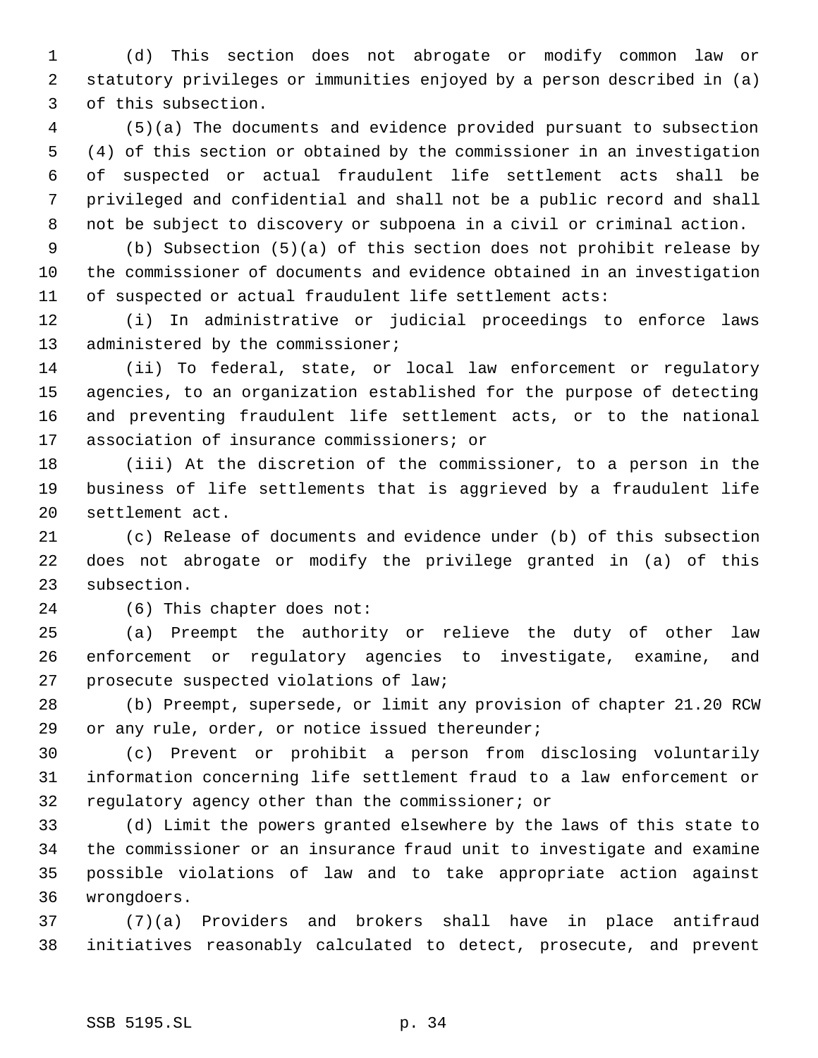(d) This section does not abrogate or modify common law or statutory privileges or immunities enjoyed by a person described in (a) of this subsection.

 (5)(a) The documents and evidence provided pursuant to subsection (4) of this section or obtained by the commissioner in an investigation of suspected or actual fraudulent life settlement acts shall be privileged and confidential and shall not be a public record and shall not be subject to discovery or subpoena in a civil or criminal action.

 (b) Subsection (5)(a) of this section does not prohibit release by the commissioner of documents and evidence obtained in an investigation of suspected or actual fraudulent life settlement acts:

 (i) In administrative or judicial proceedings to enforce laws 13 administered by the commissioner;

 (ii) To federal, state, or local law enforcement or regulatory agencies, to an organization established for the purpose of detecting and preventing fraudulent life settlement acts, or to the national association of insurance commissioners; or

 (iii) At the discretion of the commissioner, to a person in the business of life settlements that is aggrieved by a fraudulent life settlement act.

 (c) Release of documents and evidence under (b) of this subsection does not abrogate or modify the privilege granted in (a) of this subsection.

(6) This chapter does not:

 (a) Preempt the authority or relieve the duty of other law enforcement or regulatory agencies to investigate, examine, and prosecute suspected violations of law;

 (b) Preempt, supersede, or limit any provision of chapter 21.20 RCW or any rule, order, or notice issued thereunder;

 (c) Prevent or prohibit a person from disclosing voluntarily information concerning life settlement fraud to a law enforcement or regulatory agency other than the commissioner; or

 (d) Limit the powers granted elsewhere by the laws of this state to the commissioner or an insurance fraud unit to investigate and examine possible violations of law and to take appropriate action against wrongdoers.

 (7)(a) Providers and brokers shall have in place antifraud initiatives reasonably calculated to detect, prosecute, and prevent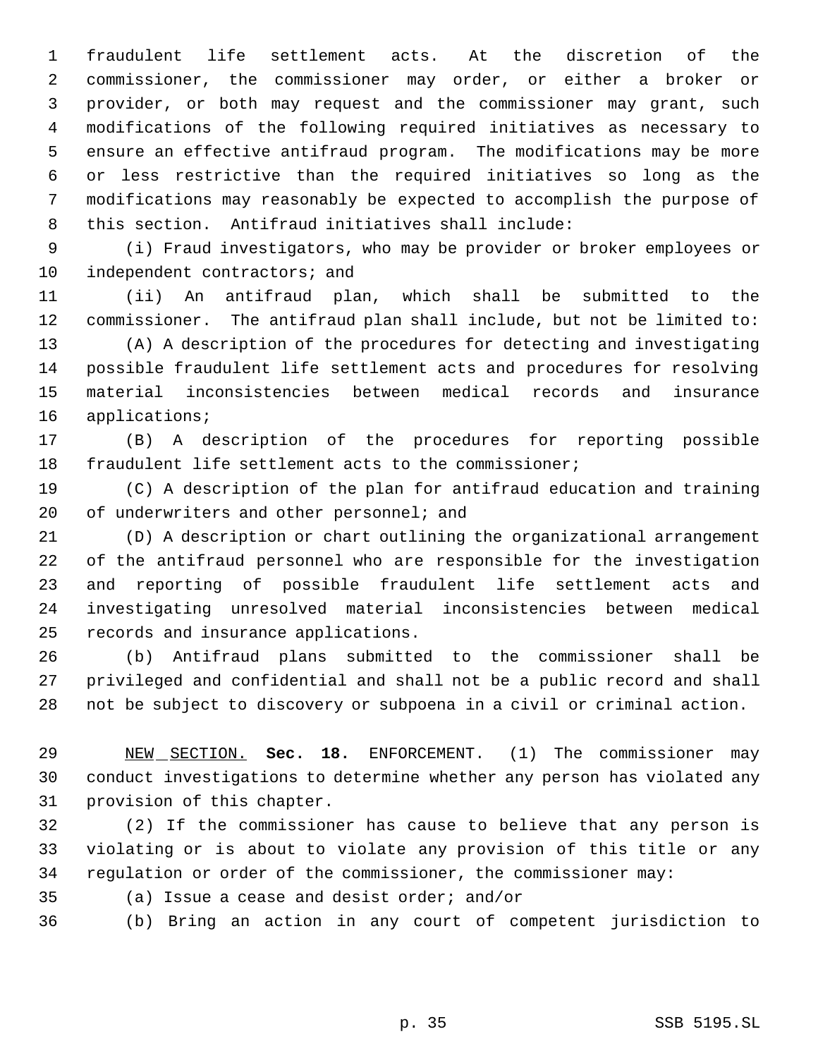fraudulent life settlement acts. At the discretion of the commissioner, the commissioner may order, or either a broker or provider, or both may request and the commissioner may grant, such modifications of the following required initiatives as necessary to ensure an effective antifraud program. The modifications may be more or less restrictive than the required initiatives so long as the modifications may reasonably be expected to accomplish the purpose of this section. Antifraud initiatives shall include:

 (i) Fraud investigators, who may be provider or broker employees or 10 independent contractors; and

 (ii) An antifraud plan, which shall be submitted to the commissioner. The antifraud plan shall include, but not be limited to:

 (A) A description of the procedures for detecting and investigating possible fraudulent life settlement acts and procedures for resolving material inconsistencies between medical records and insurance applications;

 (B) A description of the procedures for reporting possible fraudulent life settlement acts to the commissioner;

 (C) A description of the plan for antifraud education and training 20 of underwriters and other personnel; and

 (D) A description or chart outlining the organizational arrangement of the antifraud personnel who are responsible for the investigation and reporting of possible fraudulent life settlement acts and investigating unresolved material inconsistencies between medical records and insurance applications.

 (b) Antifraud plans submitted to the commissioner shall be privileged and confidential and shall not be a public record and shall not be subject to discovery or subpoena in a civil or criminal action.

 NEW SECTION. **Sec. 18.** ENFORCEMENT. (1) The commissioner may conduct investigations to determine whether any person has violated any provision of this chapter.

 (2) If the commissioner has cause to believe that any person is violating or is about to violate any provision of this title or any regulation or order of the commissioner, the commissioner may:

(a) Issue a cease and desist order; and/or

(b) Bring an action in any court of competent jurisdiction to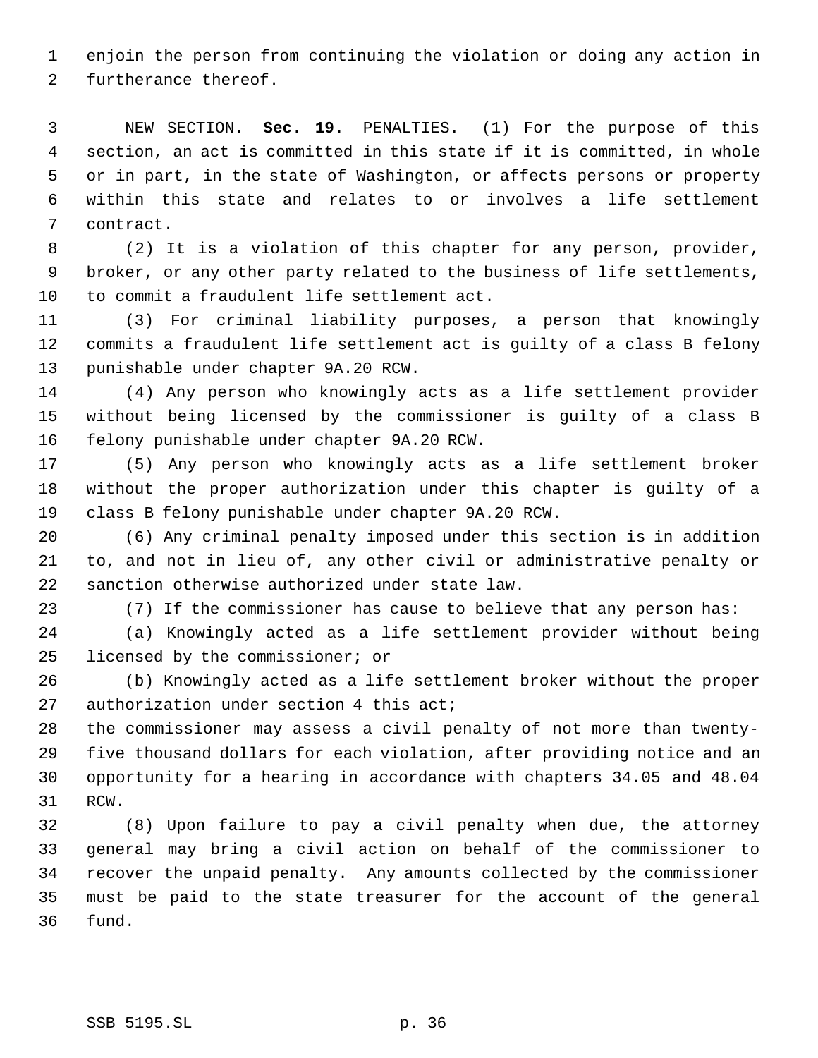enjoin the person from continuing the violation or doing any action in furtherance thereof.

 NEW SECTION. **Sec. 19.** PENALTIES. (1) For the purpose of this section, an act is committed in this state if it is committed, in whole or in part, in the state of Washington, or affects persons or property within this state and relates to or involves a life settlement contract.

 (2) It is a violation of this chapter for any person, provider, broker, or any other party related to the business of life settlements, to commit a fraudulent life settlement act.

 (3) For criminal liability purposes, a person that knowingly commits a fraudulent life settlement act is guilty of a class B felony punishable under chapter 9A.20 RCW.

 (4) Any person who knowingly acts as a life settlement provider without being licensed by the commissioner is guilty of a class B felony punishable under chapter 9A.20 RCW.

 (5) Any person who knowingly acts as a life settlement broker without the proper authorization under this chapter is guilty of a class B felony punishable under chapter 9A.20 RCW.

 (6) Any criminal penalty imposed under this section is in addition to, and not in lieu of, any other civil or administrative penalty or sanction otherwise authorized under state law.

(7) If the commissioner has cause to believe that any person has:

 (a) Knowingly acted as a life settlement provider without being licensed by the commissioner; or

 (b) Knowingly acted as a life settlement broker without the proper 27 authorization under section 4 this act;

 the commissioner may assess a civil penalty of not more than twenty- five thousand dollars for each violation, after providing notice and an opportunity for a hearing in accordance with chapters 34.05 and 48.04 RCW.

 (8) Upon failure to pay a civil penalty when due, the attorney general may bring a civil action on behalf of the commissioner to recover the unpaid penalty. Any amounts collected by the commissioner must be paid to the state treasurer for the account of the general fund.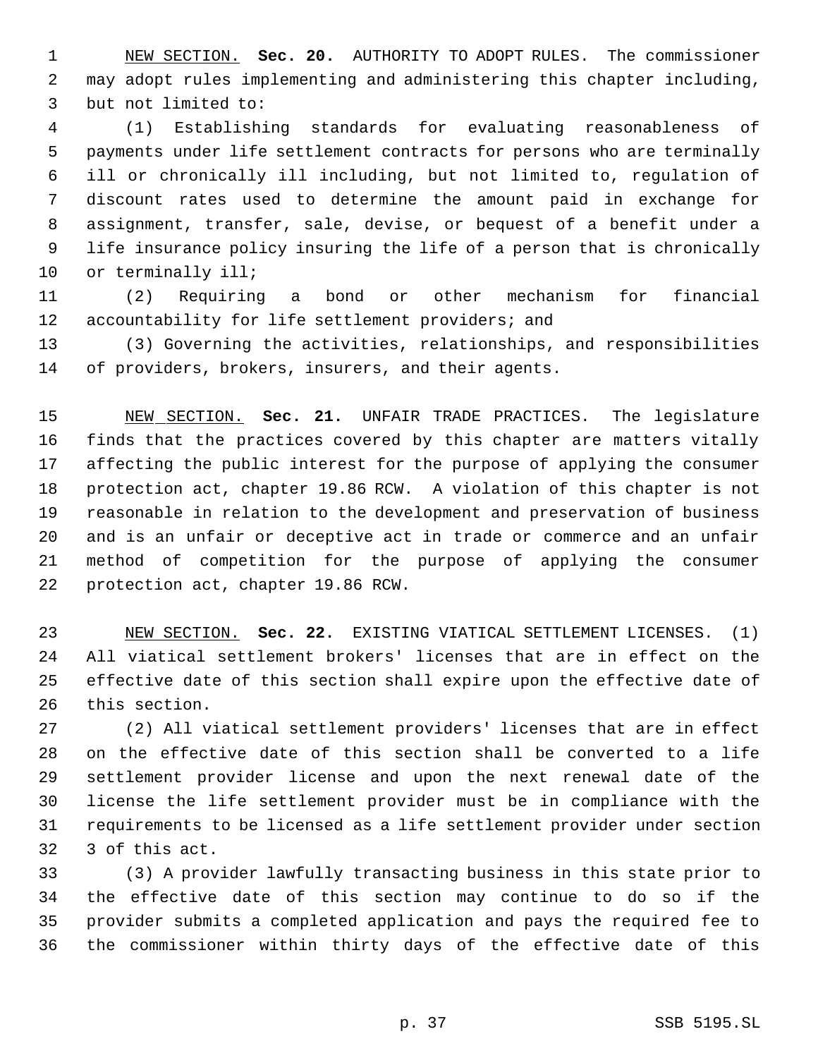NEW SECTION. **Sec. 20.** AUTHORITY TO ADOPT RULES. The commissioner may adopt rules implementing and administering this chapter including, but not limited to:

 (1) Establishing standards for evaluating reasonableness of payments under life settlement contracts for persons who are terminally ill or chronically ill including, but not limited to, regulation of discount rates used to determine the amount paid in exchange for assignment, transfer, sale, devise, or bequest of a benefit under a life insurance policy insuring the life of a person that is chronically 10 or terminally ill;

 (2) Requiring a bond or other mechanism for financial accountability for life settlement providers; and

 (3) Governing the activities, relationships, and responsibilities of providers, brokers, insurers, and their agents.

 NEW SECTION. **Sec. 21.** UNFAIR TRADE PRACTICES. The legislature finds that the practices covered by this chapter are matters vitally affecting the public interest for the purpose of applying the consumer protection act, chapter 19.86 RCW. A violation of this chapter is not reasonable in relation to the development and preservation of business and is an unfair or deceptive act in trade or commerce and an unfair method of competition for the purpose of applying the consumer protection act, chapter 19.86 RCW.

 NEW SECTION. **Sec. 22.** EXISTING VIATICAL SETTLEMENT LICENSES. (1) All viatical settlement brokers' licenses that are in effect on the effective date of this section shall expire upon the effective date of this section.

 (2) All viatical settlement providers' licenses that are in effect on the effective date of this section shall be converted to a life settlement provider license and upon the next renewal date of the license the life settlement provider must be in compliance with the requirements to be licensed as a life settlement provider under section 3 of this act.

 (3) A provider lawfully transacting business in this state prior to the effective date of this section may continue to do so if the provider submits a completed application and pays the required fee to the commissioner within thirty days of the effective date of this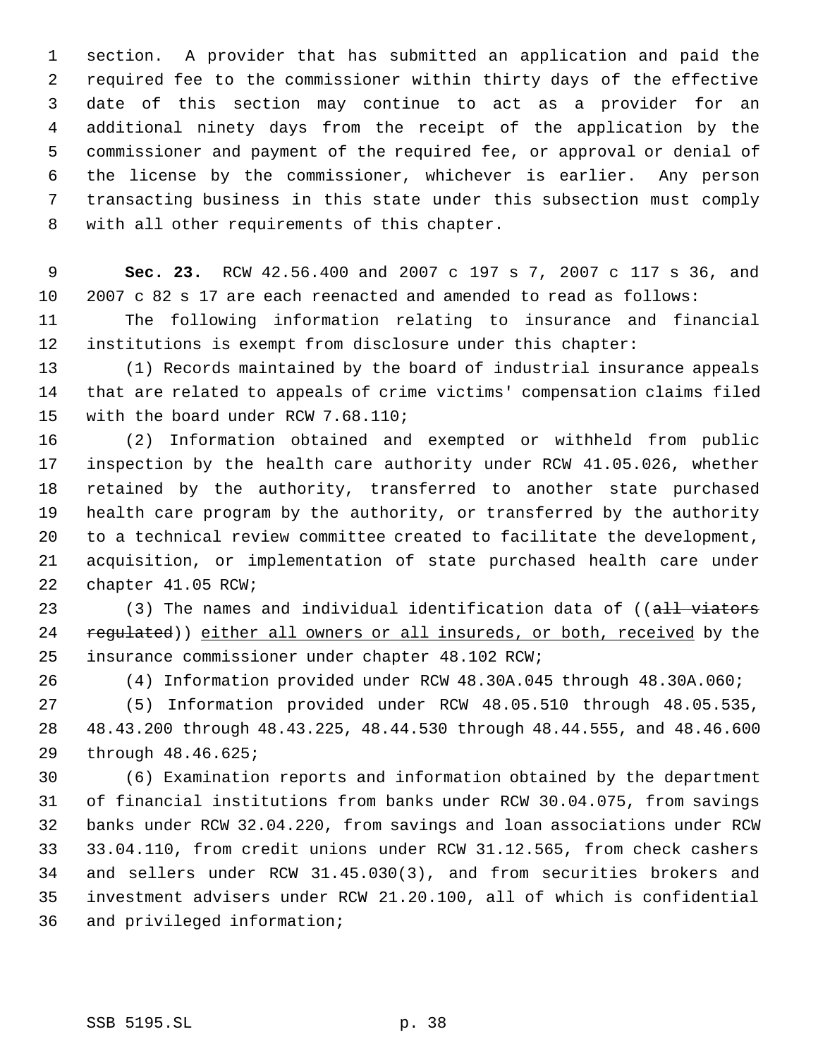section. A provider that has submitted an application and paid the required fee to the commissioner within thirty days of the effective date of this section may continue to act as a provider for an additional ninety days from the receipt of the application by the commissioner and payment of the required fee, or approval or denial of the license by the commissioner, whichever is earlier. Any person transacting business in this state under this subsection must comply with all other requirements of this chapter.

 **Sec. 23.** RCW 42.56.400 and 2007 c 197 s 7, 2007 c 117 s 36, and 2007 c 82 s 17 are each reenacted and amended to read as follows:

 The following information relating to insurance and financial institutions is exempt from disclosure under this chapter:

 (1) Records maintained by the board of industrial insurance appeals that are related to appeals of crime victims' compensation claims filed with the board under RCW 7.68.110;

 (2) Information obtained and exempted or withheld from public inspection by the health care authority under RCW 41.05.026, whether retained by the authority, transferred to another state purchased health care program by the authority, or transferred by the authority to a technical review committee created to facilitate the development, acquisition, or implementation of state purchased health care under chapter 41.05 RCW;

23 (3) The names and individual identification data of ((all viators 24 regulated)) either all owners or all insureds, or both, received by the insurance commissioner under chapter 48.102 RCW;

(4) Information provided under RCW 48.30A.045 through 48.30A.060;

 (5) Information provided under RCW 48.05.510 through 48.05.535, 48.43.200 through 48.43.225, 48.44.530 through 48.44.555, and 48.46.600 through 48.46.625;

 (6) Examination reports and information obtained by the department of financial institutions from banks under RCW 30.04.075, from savings banks under RCW 32.04.220, from savings and loan associations under RCW 33.04.110, from credit unions under RCW 31.12.565, from check cashers and sellers under RCW 31.45.030(3), and from securities brokers and investment advisers under RCW 21.20.100, all of which is confidential and privileged information;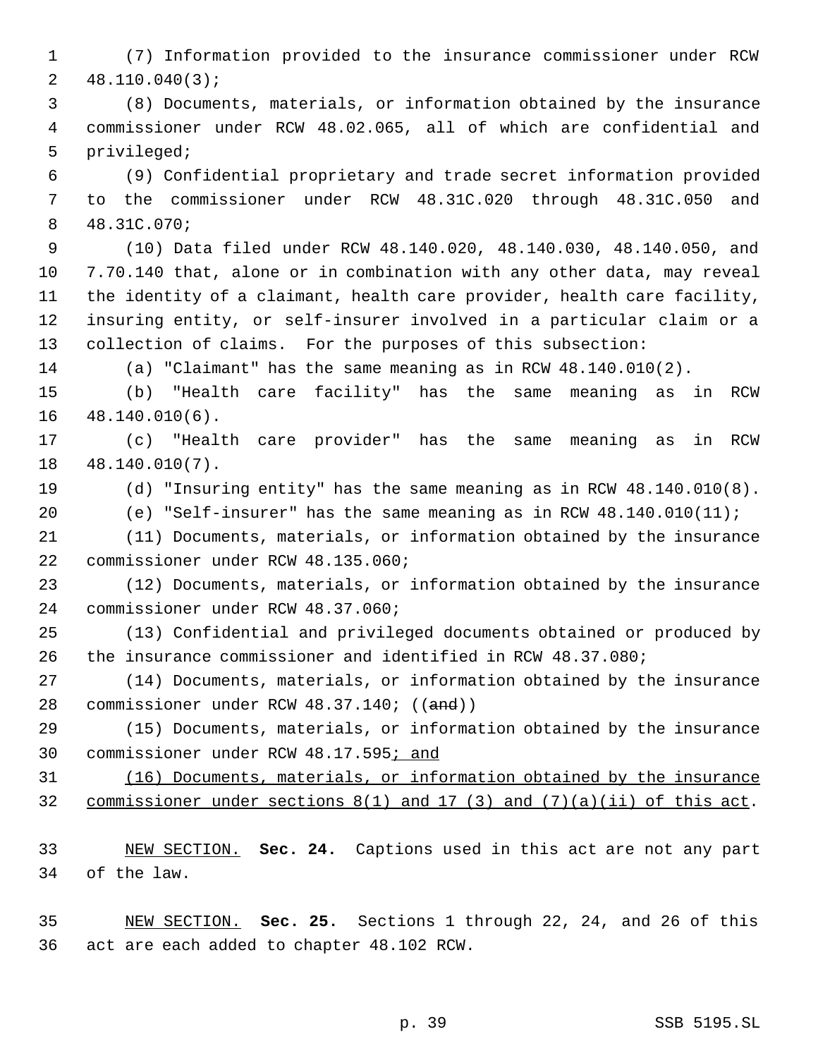(7) Information provided to the insurance commissioner under RCW 48.110.040(3);

 (8) Documents, materials, or information obtained by the insurance commissioner under RCW 48.02.065, all of which are confidential and privileged;

 (9) Confidential proprietary and trade secret information provided to the commissioner under RCW 48.31C.020 through 48.31C.050 and 48.31C.070;

 (10) Data filed under RCW 48.140.020, 48.140.030, 48.140.050, and 7.70.140 that, alone or in combination with any other data, may reveal the identity of a claimant, health care provider, health care facility, insuring entity, or self-insurer involved in a particular claim or a collection of claims. For the purposes of this subsection:

(a) "Claimant" has the same meaning as in RCW 48.140.010(2).

 (b) "Health care facility" has the same meaning as in RCW 48.140.010(6).

 (c) "Health care provider" has the same meaning as in RCW 48.140.010(7).

(d) "Insuring entity" has the same meaning as in RCW 48.140.010(8).

(e) "Self-insurer" has the same meaning as in RCW 48.140.010(11);

 (11) Documents, materials, or information obtained by the insurance commissioner under RCW 48.135.060;

 (12) Documents, materials, or information obtained by the insurance commissioner under RCW 48.37.060;

 (13) Confidential and privileged documents obtained or produced by the insurance commissioner and identified in RCW 48.37.080;

 (14) Documents, materials, or information obtained by the insurance 28 commissioner under RCW 48.37.140; ((and))

 (15) Documents, materials, or information obtained by the insurance 30 commissioner under RCW 48.17.595; and

 (16) Documents, materials, or information obtained by the insurance commissioner under sections 8(1) and 17 (3) and (7)(a)(ii) of this act.

 NEW SECTION. **Sec. 24.** Captions used in this act are not any part of the law.

 NEW SECTION. **Sec. 25.** Sections 1 through 22, 24, and 26 of this act are each added to chapter 48.102 RCW.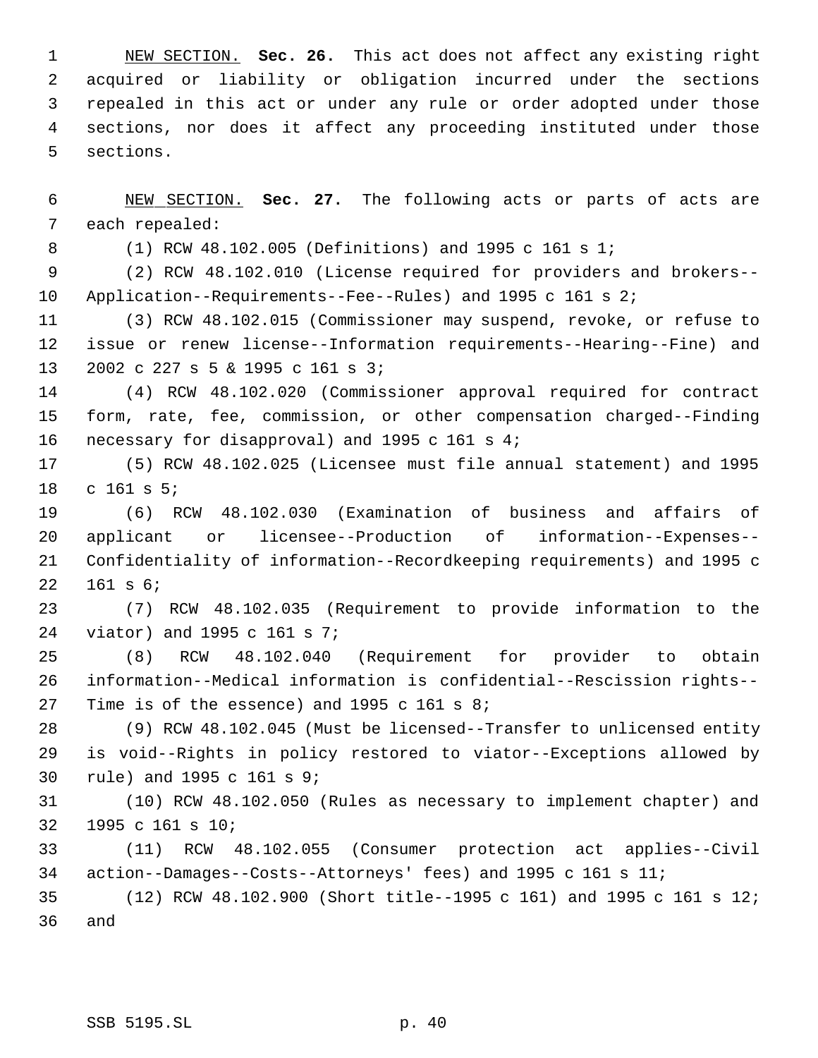NEW SECTION. **Sec. 26.** This act does not affect any existing right acquired or liability or obligation incurred under the sections repealed in this act or under any rule or order adopted under those sections, nor does it affect any proceeding instituted under those sections.

 NEW SECTION. **Sec. 27.** The following acts or parts of acts are each repealed:

(1) RCW 48.102.005 (Definitions) and 1995 c 161 s 1;

 (2) RCW 48.102.010 (License required for providers and brokers-- Application--Requirements--Fee--Rules) and 1995 c 161 s 2;

 (3) RCW 48.102.015 (Commissioner may suspend, revoke, or refuse to issue or renew license--Information requirements--Hearing--Fine) and 2002 c 227 s 5 & 1995 c 161 s 3;

 (4) RCW 48.102.020 (Commissioner approval required for contract form, rate, fee, commission, or other compensation charged--Finding necessary for disapproval) and 1995 c 161 s 4;

 (5) RCW 48.102.025 (Licensee must file annual statement) and 1995 c 161 s 5;

 (6) RCW 48.102.030 (Examination of business and affairs of applicant or licensee--Production of information--Expenses-- Confidentiality of information--Recordkeeping requirements) and 1995 c 161 s 6;

 (7) RCW 48.102.035 (Requirement to provide information to the viator) and 1995 c 161 s 7;

 (8) RCW 48.102.040 (Requirement for provider to obtain information--Medical information is confidential--Rescission rights-- Time is of the essence) and 1995 c 161 s 8;

 (9) RCW 48.102.045 (Must be licensed--Transfer to unlicensed entity is void--Rights in policy restored to viator--Exceptions allowed by rule) and 1995 c 161 s 9;

 (10) RCW 48.102.050 (Rules as necessary to implement chapter) and 1995 c 161 s 10;

 (11) RCW 48.102.055 (Consumer protection act applies--Civil action--Damages--Costs--Attorneys' fees) and 1995 c 161 s 11;

 (12) RCW 48.102.900 (Short title--1995 c 161) and 1995 c 161 s 12; and